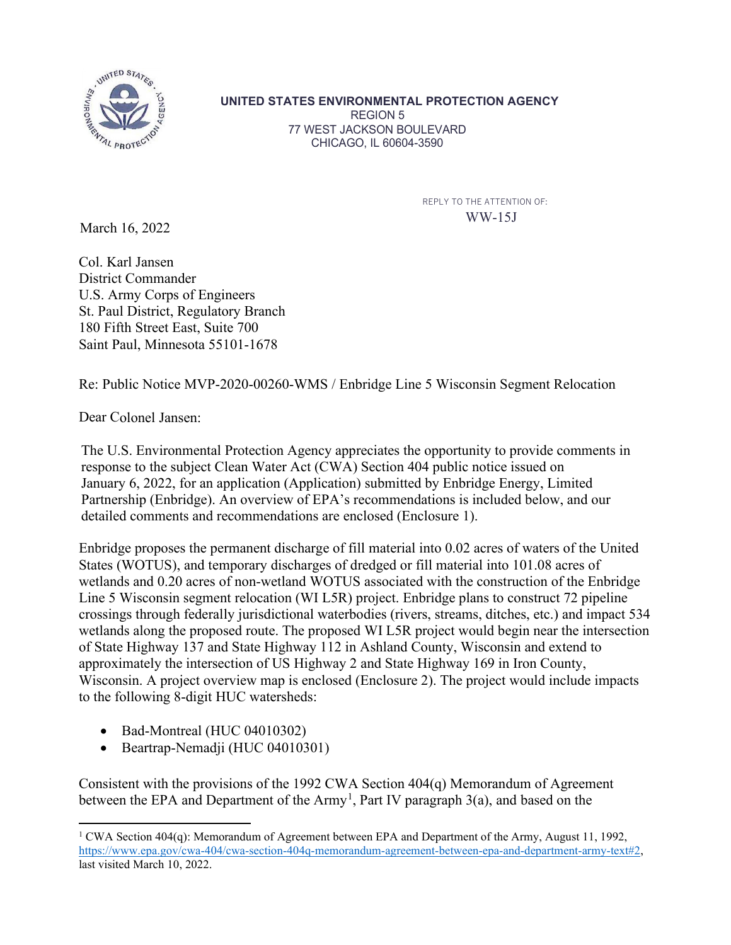

**UNITED STATES ENVIRONMENTAL PROTECTION AGENCY** REGION 5 77 WEST JACKSON BOULEVARD CHICAGO, IL 60604-3590

> REPLY TO THE ATTENTION OF: WW-15J

March 16, 2022

Col. Karl Jansen District Commander U.S. Army Corps of Engineers St. Paul District, Regulatory Branch 180 Fifth Street East, Suite 700 Saint Paul, Minnesota 55101-1678

Re: Public Notice MVP-2020-00260-WMS / Enbridge Line 5 Wisconsin Segment Relocation

Dear Colonel Jansen:

The U.S. Environmental Protection Agency appreciates the opportunity to provide comments in response to the subject Clean Water Act (CWA) Section 404 public notice issued on January 6, 2022, for an application (Application) submitted by Enbridge Energy, Limited Partnership (Enbridge). An overview of EPA's recommendations is included below, and our detailed comments and recommendations are enclosed (Enclosure 1).

Enbridge proposes the permanent discharge of fill material into 0.02 acres of waters of the United States (WOTUS), and temporary discharges of dredged or fill material into 101.08 acres of wetlands and 0.20 acres of non-wetland WOTUS associated with the construction of the Enbridge Line 5 Wisconsin segment relocation (WI L5R) project. Enbridge plans to construct 72 pipeline crossings through federally jurisdictional waterbodies (rivers, streams, ditches, etc.) and impact 534 wetlands along the proposed route. The proposed WI L5R project would begin near the intersection of State Highway 137 and State Highway 112 in Ashland County, Wisconsin and extend to approximately the intersection of US Highway 2 and State Highway 169 in Iron County, Wisconsin. A project overview map is enclosed (Enclosure 2). The project would include impacts to the following 8-digit HUC watersheds:

- Bad-Montreal (HUC 04010302)
- Beartrap-Nemadji (HUC 04010301)

Consistent with the provisions of the 1992 CWA Section 404(q) Memorandum of Agreement between the EPA and Department of the  $Army<sup>1</sup>$  $Army<sup>1</sup>$  $Army<sup>1</sup>$ , Part IV paragraph 3(a), and based on the

<span id="page-0-0"></span><sup>1</sup> CWA Section 404(q): Memorandum of Agreement between EPA and Department of the Army, August 11, 1992, [https://www.epa.gov/cwa-404/cwa-section-404q-memorandum-agreement-between-epa-and-department-army-text#2,](https://www.epa.gov/cwa-404/cwa-section-404q-memorandum-agreement-between-epa-and-department-army-text#2) last visited March 10, 2022.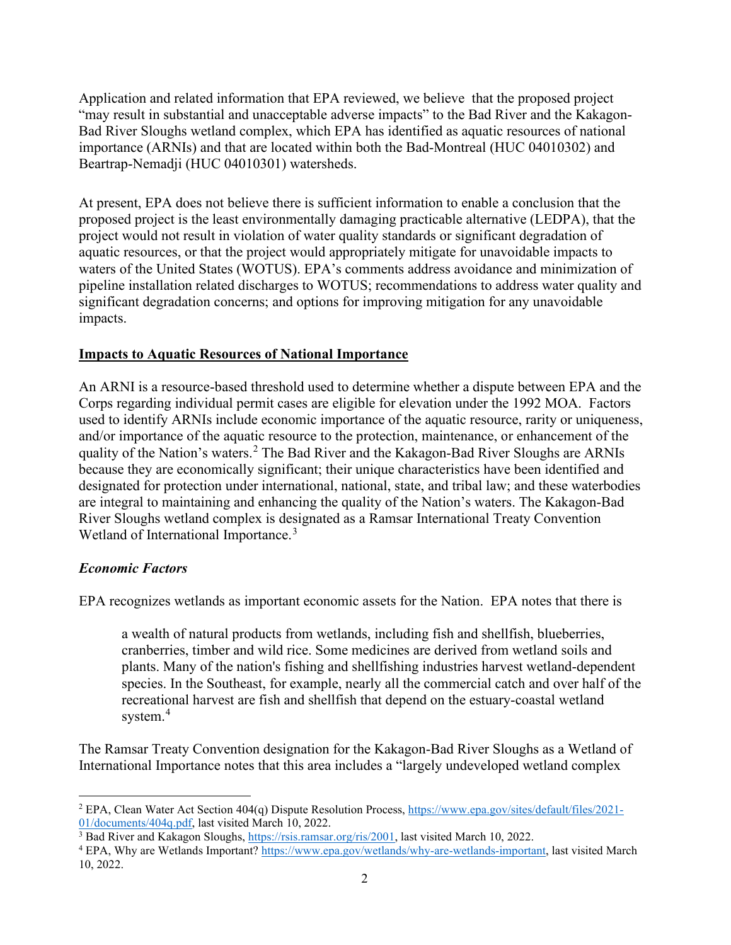Application and related information that EPA reviewed, we believe that the proposed project "may result in substantial and unacceptable adverse impacts" to the Bad River and the Kakagon-Bad River Sloughs wetland complex, which EPA has identified as aquatic resources of national importance (ARNIs) and that are located within both the Bad-Montreal (HUC 04010302) and Beartrap-Nemadji (HUC 04010301) watersheds.

At present, EPA does not believe there is sufficient information to enable a conclusion that the proposed project is the least environmentally damaging practicable alternative (LEDPA), that the project would not result in violation of water quality standards or significant degradation of aquatic resources, or that the project would appropriately mitigate for unavoidable impacts to waters of the United States (WOTUS). EPA's comments address avoidance and minimization of pipeline installation related discharges to WOTUS; recommendations to address water quality and significant degradation concerns; and options for improving mitigation for any unavoidable impacts.

### **Impacts to Aquatic Resources of National Importance**

An ARNI is a resource-based threshold used to determine whether a dispute between EPA and the Corps regarding individual permit cases are eligible for elevation under the 1992 MOA. Factors used to identify ARNIs include economic importance of the aquatic resource, rarity or uniqueness, and/or importance of the aquatic resource to the protection, maintenance, or enhancement of the quality of the Nation's waters.<sup>[2](#page-1-0)</sup> The Bad River and the Kakagon-Bad River Sloughs are ARNIs because they are economically significant; their unique characteristics have been identified and designated for protection under international, national, state, and tribal law; and these waterbodies are integral to maintaining and enhancing the quality of the Nation's waters. The Kakagon-Bad River Sloughs wetland complex is designated as a Ramsar International Treaty Convention Wetland of International Importance.<sup>[3](#page-1-1)</sup>

### *Economic Factors*

EPA recognizes wetlands as important economic assets for the Nation. EPA notes that there is

a wealth of natural products from wetlands, including fish and shellfish, blueberries, cranberries, timber and wild rice. Some medicines are derived from wetland soils and plants. Many of the nation's fishing and shellfishing industries harvest wetland-dependent species. In the Southeast, for example, nearly all the commercial catch and over half of the recreational harvest are fish and shellfish that depend on the estuary-coastal wetland system.<sup>[4](#page-1-2)</sup>

The Ramsar Treaty Convention designation for the Kakagon-Bad River Sloughs as a Wetland of International Importance notes that this area includes a "largely undeveloped wetland complex

<span id="page-1-0"></span><sup>2</sup> EPA, Clean Water Act Section 404(q) Dispute Resolution Process, [https://www.epa.gov/sites/default/files/2021-](https://www.epa.gov/sites/default/files/2021-01/documents/404q.pdf) [01/documents/404q.pdf,](https://www.epa.gov/sites/default/files/2021-01/documents/404q.pdf) last visited March 10, 2022.

<span id="page-1-1"></span><sup>&</sup>lt;sup>3</sup> Bad River and Kakagon Sloughs, [https://rsis.ramsar.org/ris/2001,](https://rsis.ramsar.org/ris/2001) last visited March 10, 2022.

<span id="page-1-2"></span><sup>4</sup> EPA, Why are Wetlands Important? [https://www.epa.gov/wetlands/why-are-wetlands-important,](https://www.epa.gov/wetlands/why-are-wetlands-important) last visited March 10, 2022.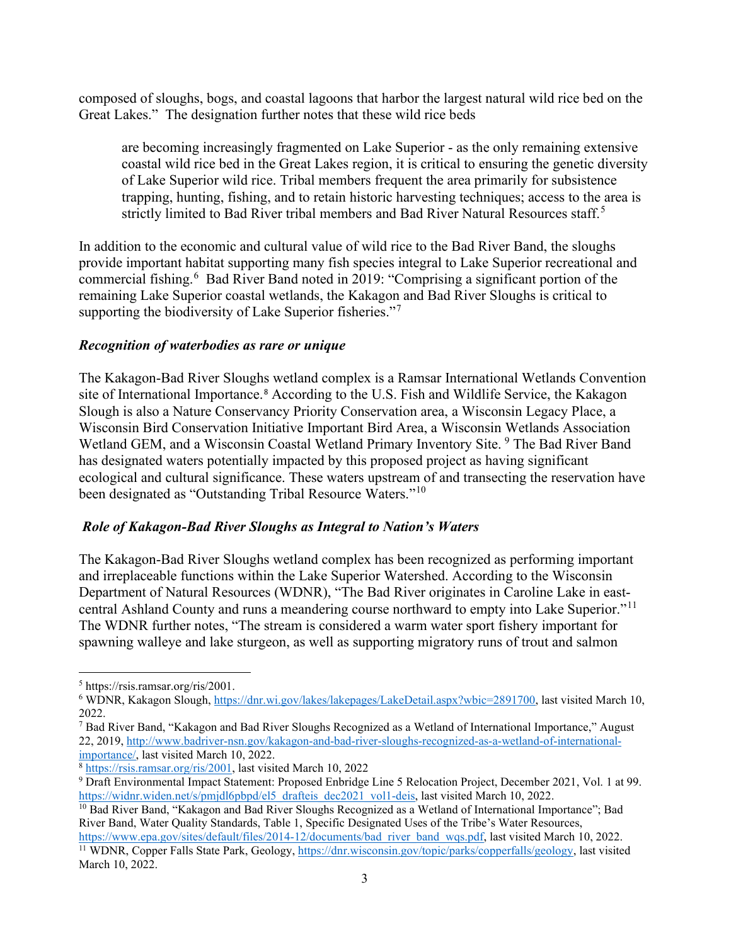composed of sloughs, bogs, and coastal lagoons that harbor the largest natural wild rice bed on the Great Lakes." The designation further notes that these wild rice beds

are becoming increasingly fragmented on Lake Superior - as the only remaining extensive coastal wild rice bed in the Great Lakes region, it is critical to ensuring the genetic diversity of Lake Superior wild rice. Tribal members frequent the area primarily for subsistence trapping, hunting, fishing, and to retain historic harvesting techniques; access to the area is strictly limited to Bad River tribal members and Bad River Natural Resources staff.<sup>[5](#page-2-0)</sup>

In addition to the economic and cultural value of wild rice to the Bad River Band, the sloughs provide important habitat supporting many fish species integral to Lake Superior recreational and commercial fishing.<sup>[6](#page-2-1)</sup> Bad River Band noted in 2019: "Comprising a significant portion of the remaining Lake Superior coastal wetlands, the Kakagon and Bad River Sloughs is critical to supporting the biodiversity of Lake Superior fisheries."<sup>[7](#page-2-2)</sup>

#### *Recognition of waterbodies as rare or unique*

The Kakagon-Bad River Sloughs wetland complex is a Ramsar International Wetlands Convention site of International Importance.<sup>[8](#page-2-3)</sup> According to the U.S. Fish and Wildlife Service, the Kakagon Slough is also a Nature Conservancy Priority Conservation area, a Wisconsin Legacy Place, a Wisconsin Bird Conservation Initiative Important Bird Area, a Wisconsin Wetlands Association Wetland GEM, and a Wisconsin Coastal Wetland Primary Inventory Site.<sup>[9](#page-2-4)</sup> The Bad River Band has designated waters potentially impacted by this proposed project as having significant ecological and cultural significance. These waters upstream of and transecting the reservation have been designated as "Outstanding Tribal Resource Waters."[10](#page-2-5)

### *Role of Kakagon-Bad River Sloughs as Integral to Nation's Waters*

The Kakagon-Bad River Sloughs wetland complex has been recognized as performing important and irreplaceable functions within the Lake Superior Watershed. According to the Wisconsin Department of Natural Resources (WDNR), "The Bad River originates in Caroline Lake in east-central Ashland County and runs a meandering course northward to empty into Lake Superior."<sup>[11](#page-2-6)</sup> The WDNR further notes, "The stream is considered a warm water sport fishery important for spawning walleye and lake sturgeon, as well as supporting migratory runs of trout and salmon

<span id="page-2-0"></span><sup>5</sup> https://rsis.ramsar.org/ris/2001.

<span id="page-2-1"></span><sup>6</sup> WDNR, Kakagon Slough, [https://dnr.wi.gov/lakes/lakepages/LakeDetail.aspx?wbic=2891700,](https://dnr.wi.gov/lakes/lakepages/LakeDetail.aspx?wbic=2891700) last visited March 10, 2022.

<span id="page-2-2"></span><sup>7</sup> Bad River Band, "Kakagon and Bad River Sloughs Recognized as a Wetland of International Importance," August 22, 2019, [http://www.badriver-nsn.gov/kakagon-and-bad-river-sloughs-recognized-as-a-wetland-of-international](http://www.badriver-nsn.gov/kakagon-and-bad-river-sloughs-recognized-as-a-wetland-of-international-importance/)[importance/,](http://www.badriver-nsn.gov/kakagon-and-bad-river-sloughs-recognized-as-a-wetland-of-international-importance/) last visited March 10, 2022.

<span id="page-2-3"></span><sup>8</sup> [https://rsis.ramsar.org/ris/2001,](https://rsis.ramsar.org/ris/2001) last visited March 10, 2022

<span id="page-2-4"></span><sup>&</sup>lt;sup>9</sup> Draft Environmental Impact Statement: Proposed Enbridge Line 5 Relocation Project, December 2021, Vol. 1 at 99. [https://widnr.widen.net/s/pmjdl6pbpd/el5\\_drafteis\\_dec2021\\_vol1-deis,](https://widnr.widen.net/s/pmjdl6pbpd/el5_drafteis_dec2021_vol1-deis) last visited March 10, 2022.

<span id="page-2-5"></span><sup>&</sup>lt;sup>10</sup> Bad River Band, "Kakagon and Bad River Sloughs Recognized as a Wetland of International Importance"; Bad River Band, Water Quality Standards, Table 1, Specific Designated Uses of the Tribe's Water Resources,

<span id="page-2-6"></span>[https://www.epa.gov/sites/default/files/2014-12/documents/bad\\_river\\_band\\_wqs.pdf,](https://www.epa.gov/sites/default/files/2014-12/documents/bad_river_band_wqs.pdf) last visited March 10, 2022. <sup>11</sup> WDNR, Copper Falls State Park, Geology[, https://dnr.wisconsin.gov/topic/parks/copperfalls/geology,](https://dnr.wisconsin.gov/topic/parks/copperfalls/geology) last visited March 10, 2022.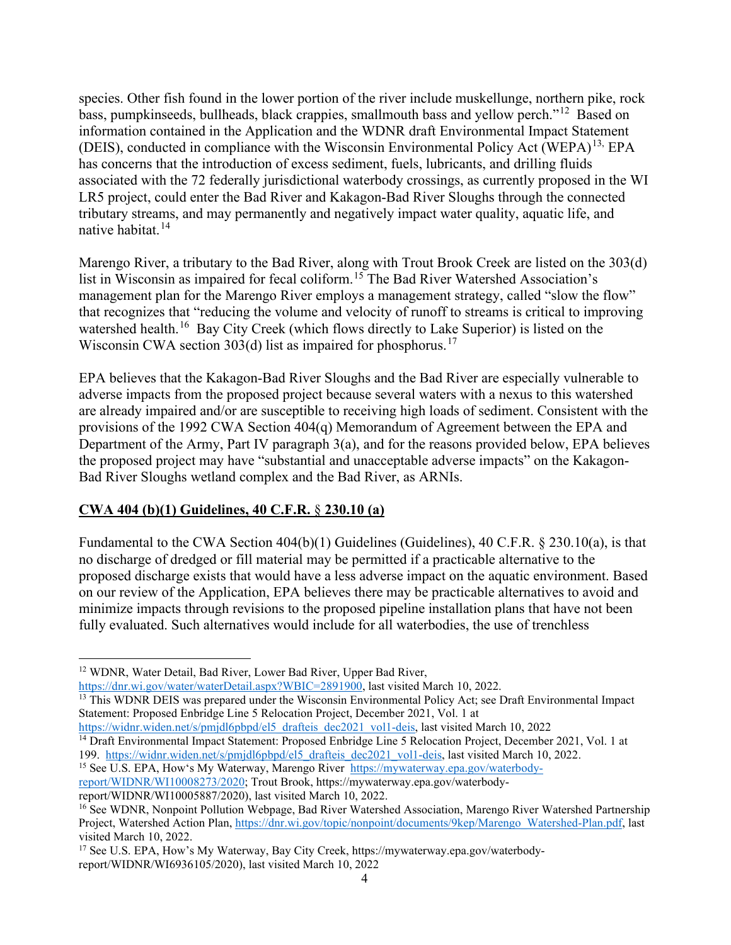species. Other fish found in the lower portion of the river include muskellunge, northern pike, rock bass, pumpkinseeds, bullheads, black crappies, smallmouth bass and yellow perch."[12](#page-3-0) Based on information contained in the Application and the WDNR draft Environmental Impact Statement (DEIS), conducted in compliance with the Wisconsin Environmental Policy Act (WEPA)<sup>[13](#page-3-1),</sup> EPA has concerns that the introduction of excess sediment, fuels, lubricants, and drilling fluids associated with the 72 federally jurisdictional waterbody crossings, as currently proposed in the WI LR5 project, could enter the Bad River and Kakagon-Bad River Sloughs through the connected tributary streams, and may permanently and negatively impact water quality, aquatic life, and native habitat.<sup>[14](#page-3-2)</sup>

Marengo River, a tributary to the Bad River, along with Trout Brook Creek are listed on the 303(d) list in Wisconsin as impaired for fecal coliform.<sup>[15](#page-3-3)</sup> The Bad River Watershed Association's management plan for the Marengo River employs a management strategy, called "slow the flow" that recognizes that "reducing the volume and velocity of runoff to streams is critical to improving watershed health.<sup>16</sup> Bay City Creek (which flows directly to Lake Superior) is listed on the Wisconsin CWA section 303(d) list as impaired for phosphorus.<sup>[17](#page-3-5)</sup>

EPA believes that the Kakagon-Bad River Sloughs and the Bad River are especially vulnerable to adverse impacts from the proposed project because several waters with a nexus to this watershed are already impaired and/or are susceptible to receiving high loads of sediment. Consistent with the provisions of the 1992 CWA Section 404(q) Memorandum of Agreement between the EPA and Department of the Army, Part IV paragraph 3(a), and for the reasons provided below, EPA believes the proposed project may have "substantial and unacceptable adverse impacts" on the Kakagon-Bad River Sloughs wetland complex and the Bad River, as ARNIs.

## **CWA 404 (b)(1) Guidelines, 40 C.F.R.** § **230.10 (a)**

Fundamental to the CWA Section  $404(b)(1)$  Guidelines (Guidelines), 40 C.F.R. § 230.10(a), is that no discharge of dredged or fill material may be permitted if a practicable alternative to the proposed discharge exists that would have a less adverse impact on the aquatic environment. Based on our review of the Application, EPA believes there may be practicable alternatives to avoid and minimize impacts through revisions to the proposed pipeline installation plans that have not been fully evaluated. Such alternatives would include for all waterbodies, the use of trenchless

<span id="page-3-2"></span>[https://widnr.widen.net/s/pmjdl6pbpd/el5\\_drafteis\\_dec2021\\_vol1-deis,](https://widnr.widen.net/s/pmjdl6pbpd/el5_drafteis_dec2021_vol1-deis) last visited March 10, 2022 <sup>14</sup> Draft Environmental Impact Statement: Proposed Enbridge Line 5 Relocation Project, December 2021, Vol. 1 at 199. [https://widnr.widen.net/s/pmjdl6pbpd/el5\\_drafteis\\_dec2021\\_vol1-deis,](https://widnr.widen.net/s/pmjdl6pbpd/el5_drafteis_dec2021_vol1-deis) last visited March 10, 2022.

<span id="page-3-3"></span><sup>15</sup> See U.S. EPA, How's My Waterway, Marengo River [https://mywaterway.epa.gov/waterbody](https://mywaterway.epa.gov/waterbody-report/WIDNR/WI10008273/2020)[report/WIDNR/WI10008273/2020;](https://mywaterway.epa.gov/waterbody-report/WIDNR/WI10008273/2020) Trout Brook, [https://mywaterway.epa.gov/waterbody](https://mywaterway.epa.gov/waterbody-report/WIDNR/WI10005887/2020)[report/WIDNR/WI10005887/2020\)](https://mywaterway.epa.gov/waterbody-report/WIDNR/WI10005887/2020), last visited March 10, 2022.

<span id="page-3-0"></span><sup>&</sup>lt;sup>12</sup> WDNR, Water Detail, Bad River, Lower Bad River, Upper Bad River,

[https://dnr.wi.gov/water/waterDetail.aspx?WBIC=2891900,](https://dnr.wi.gov/water/waterDetail.aspx?WBIC=2891900) last visited March 10, 2022.

<span id="page-3-1"></span><sup>&</sup>lt;sup>13</sup> This WDNR DEIS was prepared under the Wisconsin Environmental Policy Act; see Draft Environmental Impact Statement: Proposed Enbridge Line 5 Relocation Project, December 2021, Vol. 1 at

<span id="page-3-4"></span><sup>&</sup>lt;sup>16</sup> See WDNR, Nonpoint Pollution Webpage, Bad River Watershed Association, Marengo River Watershed Partnership Project, Watershed Action Plan, [https://dnr.wi.gov/topic/nonpoint/documents/9kep/Marengo\\_Watershed-Plan.pdf,](https://dnr.wi.gov/topic/nonpoint/documents/9kep/Marengo_Watershed-Plan.pdf) last visited March 10, 2022.

<span id="page-3-5"></span><sup>17</sup> See U.S. EPA, How's My Waterway, Bay City Creek, [https://mywaterway.epa.gov/waterbody](https://mywaterway.epa.gov/waterbody-report/WIDNR/WI6936105/2020)[report/WIDNR/WI6936105/2020\)](https://mywaterway.epa.gov/waterbody-report/WIDNR/WI6936105/2020), last visited March 10, 2022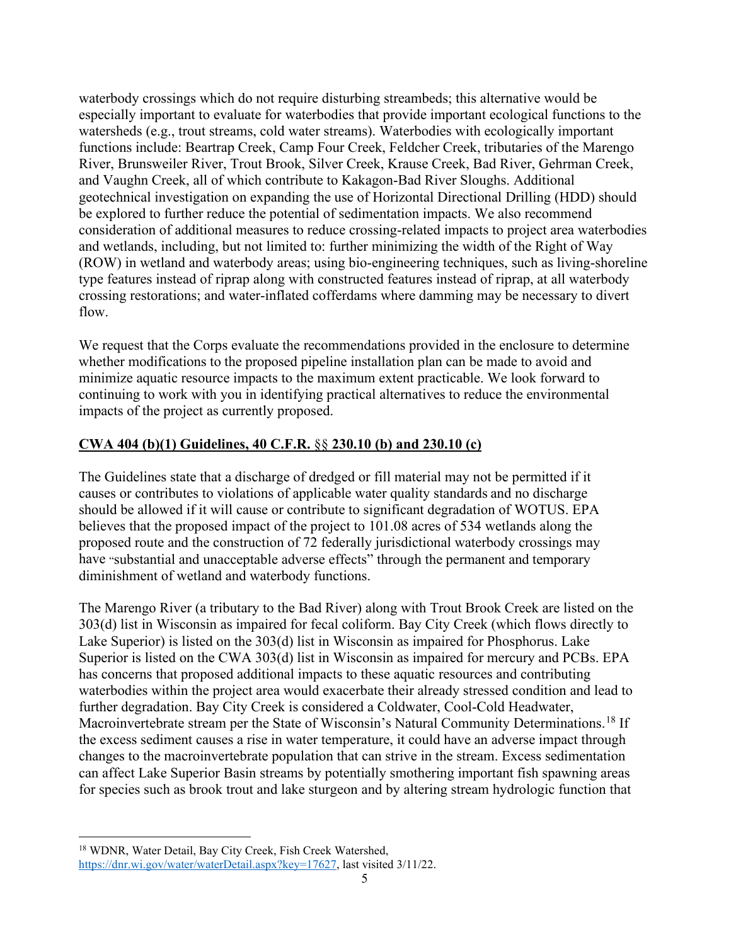waterbody crossings which do not require disturbing streambeds; this alternative would be especially important to evaluate for waterbodies that provide important ecological functions to the watersheds (e.g., trout streams, cold water streams). Waterbodies with ecologically important functions include: Beartrap Creek, Camp Four Creek, Feldcher Creek, tributaries of the Marengo River, Brunsweiler River, Trout Brook, Silver Creek, Krause Creek, Bad River, Gehrman Creek, and Vaughn Creek, all of which contribute to Kakagon-Bad River Sloughs. Additional geotechnical investigation on expanding the use of Horizontal Directional Drilling (HDD) should be explored to further reduce the potential of sedimentation impacts. We also recommend consideration of additional measures to reduce crossing-related impacts to project area waterbodies and wetlands, including, but not limited to: further minimizing the width of the Right of Way (ROW) in wetland and waterbody areas; using bio-engineering techniques, such as living-shoreline type features instead of riprap along with constructed features instead of riprap, at all waterbody crossing restorations; and water-inflated cofferdams where damming may be necessary to divert flow.

We request that the Corps evaluate the recommendations provided in the enclosure to determine whether modifications to the proposed pipeline installation plan can be made to avoid and minimize aquatic resource impacts to the maximum extent practicable. We look forward to continuing to work with you in identifying practical alternatives to reduce the environmental impacts of the project as currently proposed.

## **CWA 404 (b)(1) Guidelines, 40 C.F.R.** §§ **230.10 (b) and 230.10 (c)**

The Guidelines state that a discharge of dredged or fill material may not be permitted if it causes or contributes to violations of applicable water quality standards and no discharge should be allowed if it will cause or contribute to significant degradation of WOTUS. EPA believes that the proposed impact of the project to 101.08 acres of 534 wetlands along the proposed route and the construction of 72 federally jurisdictional waterbody crossings may have "substantial and unacceptable adverse effects" through the permanent and temporary diminishment of wetland and waterbody functions.

The Marengo River (a tributary to the Bad River) along with Trout Brook Creek are listed on the 303(d) list in Wisconsin as impaired for fecal coliform. Bay City Creek (which flows directly to Lake Superior) is listed on the 303(d) list in Wisconsin as impaired for Phosphorus. Lake Superior is listed on the CWA 303(d) list in Wisconsin as impaired for mercury and PCBs. EPA has concerns that proposed additional impacts to these aquatic resources and contributing waterbodies within the project area would exacerbate their already stressed condition and lead to further degradation. Bay City Creek is considered a Coldwater, Cool-Cold Headwater, Macroinvertebrate stream per the State of Wisconsin's Natural Community Determinations.<sup>[18](#page-4-0)</sup> If the excess sediment causes a rise in water temperature, it could have an adverse impact through changes to the macroinvertebrate population that can strive in the stream. Excess sedimentation can affect Lake Superior Basin streams by potentially smothering important fish spawning areas for species such as brook trout and lake sturgeon and by altering stream hydrologic function that

<span id="page-4-0"></span><sup>18</sup> WDNR, Water Detail, Bay City Creek, Fish Creek Watershed,

[https://dnr.wi.gov/water/waterDetail.aspx?key=17627,](https://dnr.wi.gov/water/waterDetail.aspx?key=17627) last visited 3/11/22.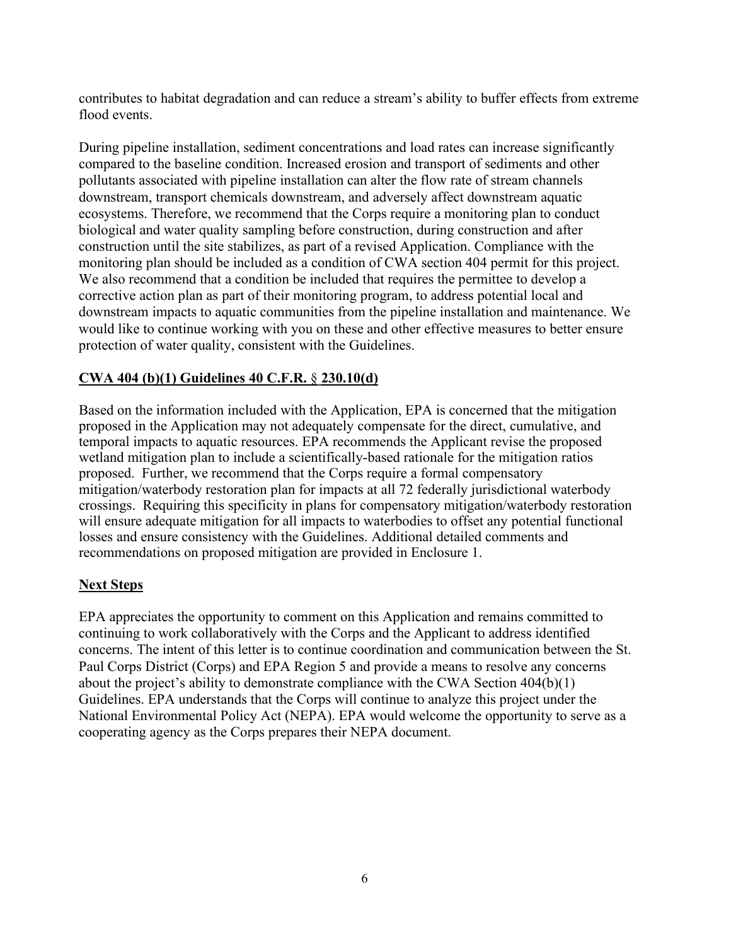contributes to habitat degradation and can reduce a stream's ability to buffer effects from extreme flood events.

During pipeline installation, sediment concentrations and load rates can increase significantly compared to the baseline condition. Increased erosion and transport of sediments and other pollutants associated with pipeline installation can alter the flow rate of stream channels downstream, transport chemicals downstream, and adversely affect downstream aquatic ecosystems. Therefore, we recommend that the Corps require a monitoring plan to conduct biological and water quality sampling before construction, during construction and after construction until the site stabilizes, as part of a revised Application. Compliance with the monitoring plan should be included as a condition of CWA section 404 permit for this project. We also recommend that a condition be included that requires the permittee to develop a corrective action plan as part of their monitoring program, to address potential local and downstream impacts to aquatic communities from the pipeline installation and maintenance. We would like to continue working with you on these and other effective measures to better ensure protection of water quality, consistent with the Guidelines.

### **CWA 404 (b)(1) Guidelines 40 C.F.R.** § **230.10(d)**

Based on the information included with the Application, EPA is concerned that the mitigation proposed in the Application may not adequately compensate for the direct, cumulative, and temporal impacts to aquatic resources. EPA recommends the Applicant revise the proposed wetland mitigation plan to include a scientifically-based rationale for the mitigation ratios proposed. Further, we recommend that the Corps require a formal compensatory mitigation/waterbody restoration plan for impacts at all 72 federally jurisdictional waterbody crossings. Requiring this specificity in plans for compensatory mitigation/waterbody restoration will ensure adequate mitigation for all impacts to waterbodies to offset any potential functional losses and ensure consistency with the Guidelines. Additional detailed comments and recommendations on proposed mitigation are provided in Enclosure 1.

## **Next Steps**

EPA appreciates the opportunity to comment on this Application and remains committed to continuing to work collaboratively with the Corps and the Applicant to address identified concerns. The intent of this letter is to continue coordination and communication between the St. Paul Corps District (Corps) and EPA Region 5 and provide a means to resolve any concerns about the project's ability to demonstrate compliance with the CWA Section 404(b)(1) Guidelines. EPA understands that the Corps will continue to analyze this project under the National Environmental Policy Act (NEPA). EPA would welcome the opportunity to serve as a cooperating agency as the Corps prepares their NEPA document.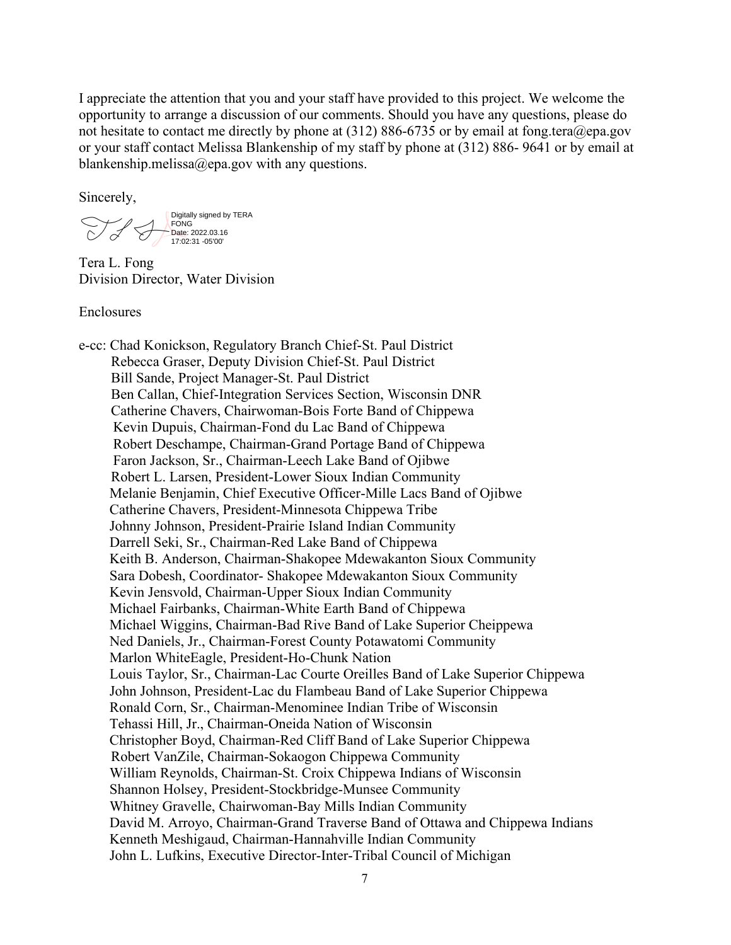I appreciate the attention that you and your staff have provided to this project. We welcome the opportunity to arrange a discussion of our comments. Should you have any questions, please do not hesitate to contact me directly by phone at (312) 886-6735 or by email at [fong.tera@epa.gov](mailto:fong.tera@epa.gov) or your staff contact Melissa Blankenship of my staff by phone at (312) 886- 9641 or by email at [blankenship.melissa@epa.gov](mailto:blankenship.melissa@epa.gov) with any questions.

Sincerely,

Digitally signed by TERA FONG Date: 2022.03.16 17:02:31 -05'00'

Tera L. Fong Division Director, Water Division

Enclosures

e-cc: Chad Konickson, Regulatory Branch Chief-St. Paul District Rebecca Graser, Deputy Division Chief-St. Paul District Bill Sande, Project Manager-St. Paul District Ben Callan, Chief-Integration Services Section, Wisconsin DNR Catherine Chavers, Chairwoman-Bois Forte Band of Chippewa Kevin Dupuis, Chairman-Fond du Lac Band of Chippewa Robert Deschampe, Chairman-Grand Portage Band of Chippewa Faron Jackson, Sr., Chairman-Leech Lake Band of Ojibwe Robert L. Larsen, President-Lower Sioux Indian Community Melanie Benjamin, Chief Executive Officer-Mille Lacs Band of Ojibwe Catherine Chavers, President-Minnesota Chippewa Tribe Johnny Johnson, President-Prairie Island Indian Community Darrell Seki, Sr., Chairman-Red Lake Band of Chippewa Keith B. Anderson, Chairman-Shakopee Mdewakanton Sioux Community Sara Dobesh, Coordinator- Shakopee Mdewakanton Sioux Community Kevin Jensvold, Chairman-Upper Sioux Indian Community Michael Fairbanks, Chairman-White Earth Band of Chippewa Michael Wiggins, Chairman-Bad Rive Band of Lake Superior Cheippewa Ned Daniels, Jr., Chairman-Forest County Potawatomi Community Marlon WhiteEagle, President-Ho-Chunk Nation Louis Taylor, Sr., Chairman-Lac Courte Oreilles Band of Lake Superior Chippewa John Johnson, President-Lac du Flambeau Band of Lake Superior Chippewa Ronald Corn, Sr., Chairman-Menominee Indian Tribe of Wisconsin Tehassi Hill, Jr., Chairman-Oneida Nation of Wisconsin Christopher Boyd, Chairman-Red Cliff Band of Lake Superior Chippewa Robert VanZile, Chairman-Sokaogon Chippewa Community William Reynolds, Chairman-St. Croix Chippewa Indians of Wisconsin Shannon Holsey, President-Stockbridge-Munsee Community Whitney Gravelle, Chairwoman-Bay Mills Indian Community David M. Arroyo, Chairman-Grand Traverse Band of Ottawa and Chippewa Indians Kenneth Meshigaud, Chairman-Hannahville Indian Community John L. Lufkins, Executive Director-Inter-Tribal Council of Michigan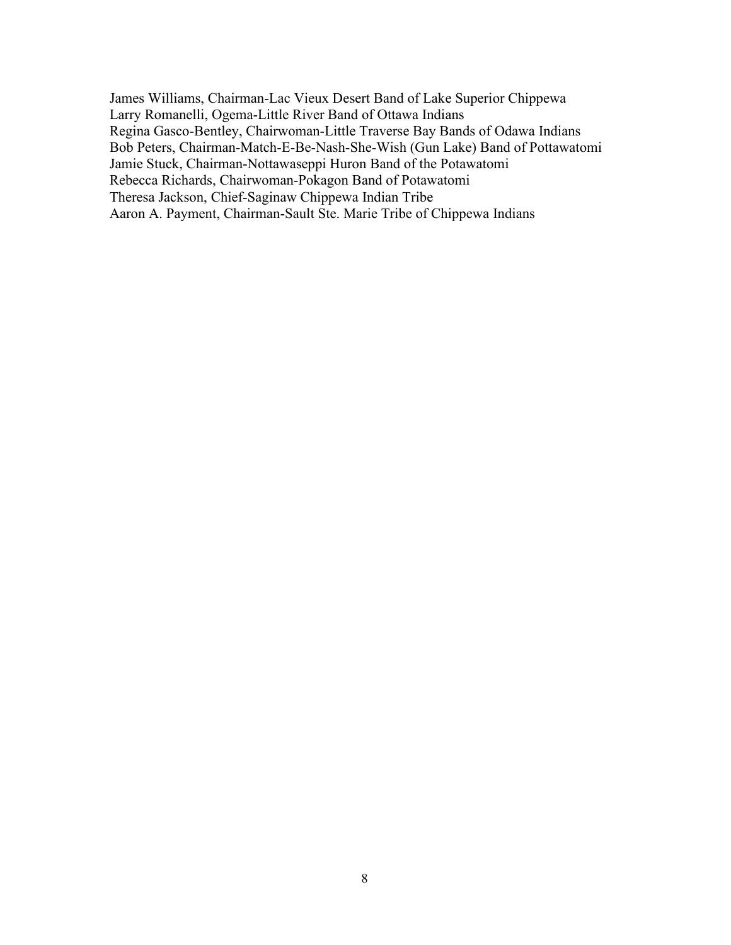James Williams, Chairman-Lac Vieux Desert Band of Lake Superior Chippewa Larry Romanelli, Ogema-Little River Band of Ottawa Indians Regina Gasco-Bentley, Chairwoman-Little Traverse Bay Bands of Odawa Indians Bob Peters, Chairman-Match-E-Be-Nash-She-Wish (Gun Lake) Band of Pottawatomi Jamie Stuck, Chairman-Nottawaseppi Huron Band of the Potawatomi Rebecca Richards, Chairwoman-Pokagon Band of Potawatomi Theresa Jackson, Chief-Saginaw Chippewa Indian Tribe Aaron A. Payment, Chairman-Sault Ste. Marie Tribe of Chippewa Indians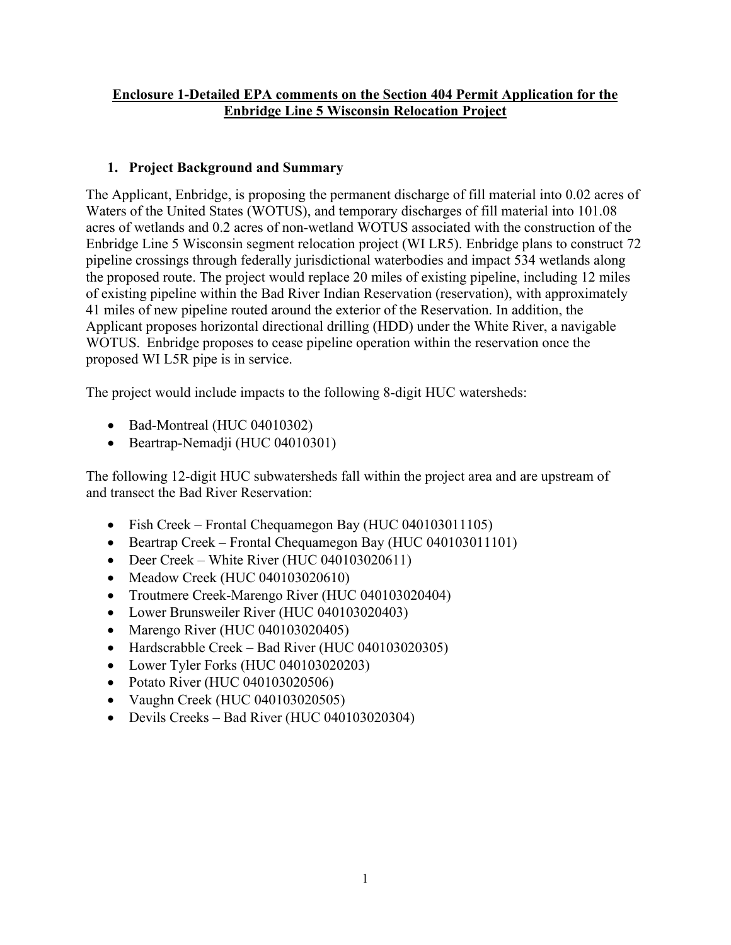## **Enclosure 1-Detailed EPA comments on the Section 404 Permit Application for the Enbridge Line 5 Wisconsin Relocation Project**

# **1. Project Background and Summary**

The Applicant, Enbridge, is proposing the permanent discharge of fill material into 0.02 acres of Waters of the United States (WOTUS), and temporary discharges of fill material into 101.08 acres of wetlands and 0.2 acres of non-wetland WOTUS associated with the construction of the Enbridge Line 5 Wisconsin segment relocation project (WI LR5). Enbridge plans to construct 72 pipeline crossings through federally jurisdictional waterbodies and impact 534 wetlands along the proposed route. The project would replace 20 miles of existing pipeline, including 12 miles of existing pipeline within the Bad River Indian Reservation (reservation), with approximately 41 miles of new pipeline routed around the exterior of the Reservation. In addition, the Applicant proposes horizontal directional drilling (HDD) under the White River, a navigable WOTUS. Enbridge proposes to cease pipeline operation within the reservation once the proposed WI L5R pipe is in service.

The project would include impacts to the following 8-digit HUC watersheds:

- Bad-Montreal (HUC 04010302)
- Beartrap-Nemadji (HUC 04010301)

The following 12-digit HUC subwatersheds fall within the project area and are upstream of and transect the Bad River Reservation:

- Fish Creek Frontal Chequamegon Bay (HUC 040103011105)
- Beartrap Creek Frontal Chequamegon Bay (HUC 040103011101)
- Deer Creek White River (HUC 040103020611)
- Meadow Creek (HUC 040103020610)
- Troutmere Creek-Marengo River (HUC 040103020404)
- Lower Brunsweiler River (HUC 040103020403)
- Marengo River (HUC 040103020405)
- Hardscrabble Creek Bad River (HUC 040103020305)
- Lower Tyler Forks (HUC 040103020203)
- Potato River (HUC 040103020506)
- Vaughn Creek (HUC 040103020505)
- Devils Creeks Bad River (HUC 040103020304)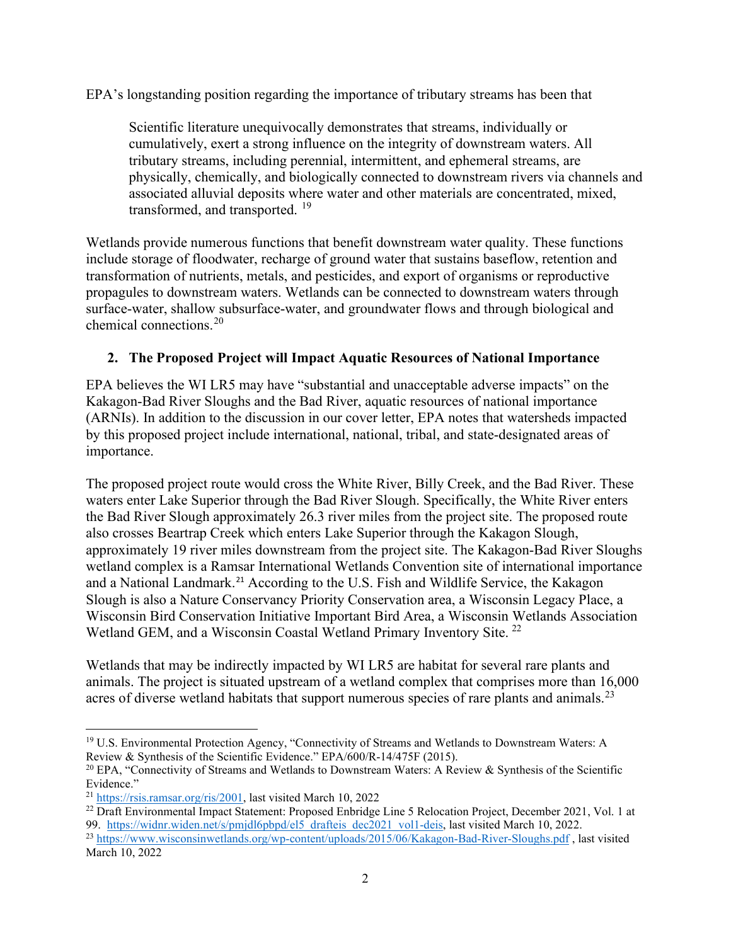EPA's longstanding position regarding the importance of tributary streams has been that

Scientific literature unequivocally demonstrates that streams, individually or cumulatively, exert a strong influence on the integrity of downstream waters. All tributary streams, including perennial, intermittent, and ephemeral streams, are physically, chemically, and biologically connected to downstream rivers via channels and associated alluvial deposits where water and other materials are concentrated, mixed, transformed, and transported. <sup>[19](#page-9-0)</sup>

Wetlands provide numerous functions that benefit downstream water quality. These functions include storage of floodwater, recharge of ground water that sustains baseflow, retention and transformation of nutrients, metals, and pesticides, and export of organisms or reproductive propagules to downstream waters. Wetlands can be connected to downstream waters through surface-water, shallow subsurface-water, and groundwater flows and through biological and chemical connections.[20](#page-9-1)

## **2. The Proposed Project will Impact Aquatic Resources of National Importance**

EPA believes the WI LR5 may have "substantial and unacceptable adverse impacts" on the Kakagon-Bad River Sloughs and the Bad River, aquatic resources of national importance (ARNIs). In addition to the discussion in our cover letter, EPA notes that watersheds impacted by this proposed project include international, national, tribal, and state-designated areas of importance.

The proposed project route would cross the White River, Billy Creek, and the Bad River. These waters enter Lake Superior through the Bad River Slough. Specifically, the White River enters the Bad River Slough approximately 26.3 river miles from the project site. The proposed route also crosses Beartrap Creek which enters Lake Superior through the Kakagon Slough, approximately 19 river miles downstream from the project site. The Kakagon-Bad River Sloughs wetland complex is a Ramsar International Wetlands Convention site of international importance and a National Landmark.<sup>[21](#page-9-2)</sup> According to the U.S. Fish and Wildlife Service, the Kakagon Slough is also a Nature Conservancy Priority Conservation area, a Wisconsin Legacy Place, a Wisconsin Bird Conservation Initiative Important Bird Area, a Wisconsin Wetlands Association Wetland GEM, and a Wisconsin Coastal Wetland Primary Inventory Site.<sup>[22](#page-9-3)</sup>

Wetlands that may be indirectly impacted by WI LR5 are habitat for several rare plants and animals. The project is situated upstream of a wetland complex that comprises more than 16,000 acres of diverse wetland habitats that support numerous species of rare plants and animals.<sup>[23](#page-9-4)</sup>

<span id="page-9-0"></span><sup>&</sup>lt;sup>19</sup> U.S. Environmental Protection Agency, "Connectivity of Streams and Wetlands to Downstream Waters: A Review & Synthesis of the Scientific Evidence." EPA/600/R-14/475F (2015).

<span id="page-9-1"></span><sup>&</sup>lt;sup>20</sup> EPA, "Connectivity of Streams and Wetlands to Downstream Waters: A Review & Synthesis of the Scientific Evidence."

<span id="page-9-2"></span><sup>21</sup> [https://rsis.ramsar.org/ris/2001,](https://rsis.ramsar.org/ris/2001) last visited March 10, 2022

<span id="page-9-3"></span><sup>&</sup>lt;sup>22</sup> Draft Environmental Impact Statement: Proposed Enbridge Line 5 Relocation Project, December 2021, Vol. 1 at 99. https://widnr.widen.net/s/pmjdl6pbpd/el5<sup>drafteis\_dec2021\_vol1-deis, last visited March 10, 2022.</sup>

<span id="page-9-4"></span><sup>&</sup>lt;sup>23</sup> <https://www.wisconsinwetlands.org/wp-content/uploads/2015/06/Kakagon-Bad-River-Sloughs.pdf>, last visited March 10, 2022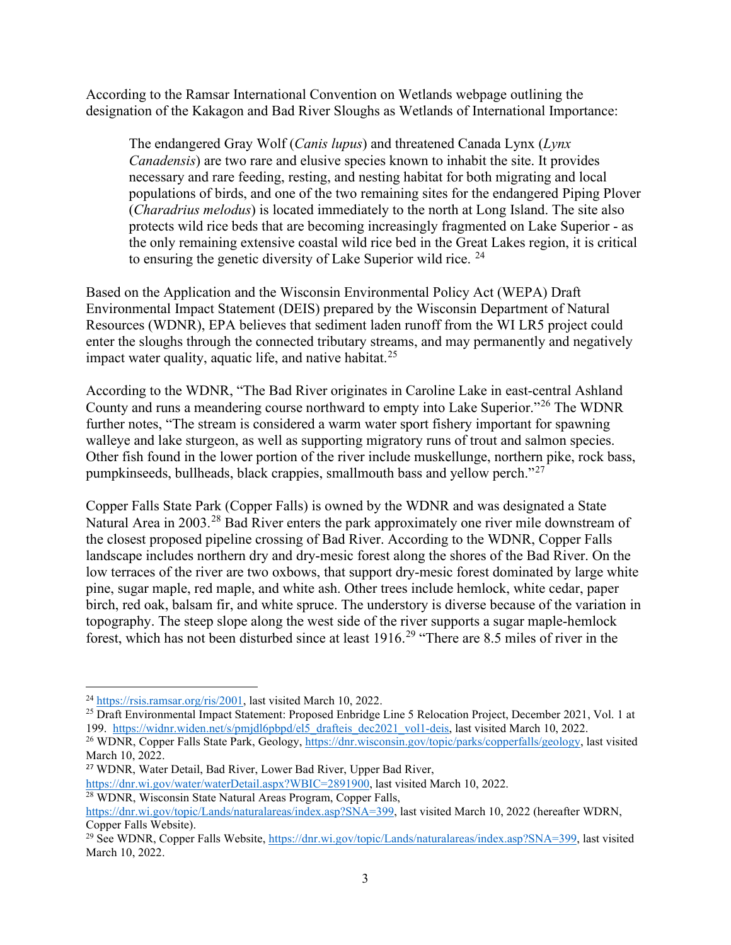According to the Ramsar International Convention on Wetlands webpage outlining the designation of the Kakagon and Bad River Sloughs as Wetlands of International Importance:

The endangered Gray Wolf (*Canis lupus*) and threatened Canada Lynx (*Lynx Canadensis*) are two rare and elusive species known to inhabit the site. It provides necessary and rare feeding, resting, and nesting habitat for both migrating and local populations of birds, and one of the two remaining sites for the endangered Piping Plover (*Charadrius melodus*) is located immediately to the north at Long Island. The site also protects wild rice beds that are becoming increasingly fragmented on Lake Superior - as the only remaining extensive coastal wild rice bed in the Great Lakes region, it is critical to ensuring the genetic diversity of Lake Superior wild rice.  $24$ 

Based on the Application and the Wisconsin Environmental Policy Act (WEPA) Draft Environmental Impact Statement (DEIS) prepared by the Wisconsin Department of Natural Resources (WDNR), EPA believes that sediment laden runoff from the WI LR5 project could enter the sloughs through the connected tributary streams, and may permanently and negatively impact water quality, aquatic life, and native habitat.<sup>[25](#page-10-1)</sup>

According to the WDNR, "The Bad River originates in Caroline Lake in east-central Ashland County and runs a meandering course northward to empty into Lake Superior."[26](#page-10-2) The WDNR further notes, "The stream is considered a warm water sport fishery important for spawning walleye and lake sturgeon, as well as supporting migratory runs of trout and salmon species. Other fish found in the lower portion of the river include muskellunge, northern pike, rock bass, pumpkinseeds, bullheads, black crappies, smallmouth bass and yellow perch."[27](#page-10-3)

Copper Falls State Park (Copper Falls) is owned by the WDNR and was designated a State Natural Area in 2003.<sup>[28](#page-10-4)</sup> Bad River enters the park approximately one river mile downstream of the closest proposed pipeline crossing of Bad River. According to the WDNR, Copper Falls landscape includes northern dry and dry-mesic forest along the shores of the Bad River. On the low terraces of the river are two oxbows, that support dry-mesic forest dominated by large white pine, sugar maple, red maple, and white ash. Other trees include hemlock, white cedar, paper birch, red oak, balsam fir, and white spruce. The understory is diverse because of the variation in topography. The steep slope along the west side of the river supports a sugar maple-hemlock forest, which has not been disturbed since at least 1916.[29](#page-10-5) "There are 8.5 miles of river in the

<span id="page-10-0"></span><sup>24</sup> [https://rsis.ramsar.org/ris/2001,](https://rsis.ramsar.org/ris/2001) last visited March 10, 2022.

<span id="page-10-1"></span><sup>&</sup>lt;sup>25</sup> Draft Environmental Impact Statement: Proposed Enbridge Line 5 Relocation Project, December 2021, Vol. 1 at 199. [https://widnr.widen.net/s/pmjdl6pbpd/el5\\_drafteis\\_dec2021\\_vol1-deis,](https://widnr.widen.net/s/pmjdl6pbpd/el5_drafteis_dec2021_vol1-deis) last visited March 10, 2022. <sup>26</sup> WDNR, Copper Falls State Park, Geology[, https://dnr.wisconsin.gov/topic/parks/copperfalls/geology,](https://dnr.wisconsin.gov/topic/parks/copperfalls/geology) last visited

<span id="page-10-2"></span>March 10, 2022.

<span id="page-10-3"></span><sup>27</sup> WDNR, Water Detail, Bad River, Lower Bad River, Upper Bad River,

[https://dnr.wi.gov/water/waterDetail.aspx?WBIC=2891900,](https://dnr.wi.gov/water/waterDetail.aspx?WBIC=2891900) last visited March 10, 2022.

<span id="page-10-4"></span><sup>&</sup>lt;sup>28</sup> WDNR, Wisconsin State Natural Areas Program, Copper Falls,

[https://dnr.wi.gov/topic/Lands/naturalareas/index.asp?SNA=399,](https://dnr.wi.gov/topic/Lands/naturalareas/index.asp?SNA=399) last visited March 10, 2022 (hereafter WDRN, Copper Falls Website).

<span id="page-10-5"></span><sup>&</sup>lt;sup>29</sup> See WDNR, Copper Falls Website, [https://dnr.wi.gov/topic/Lands/naturalareas/index.asp?SNA=399,](https://dnr.wi.gov/topic/Lands/naturalareas/index.asp?SNA=399) last visited March 10, 2022.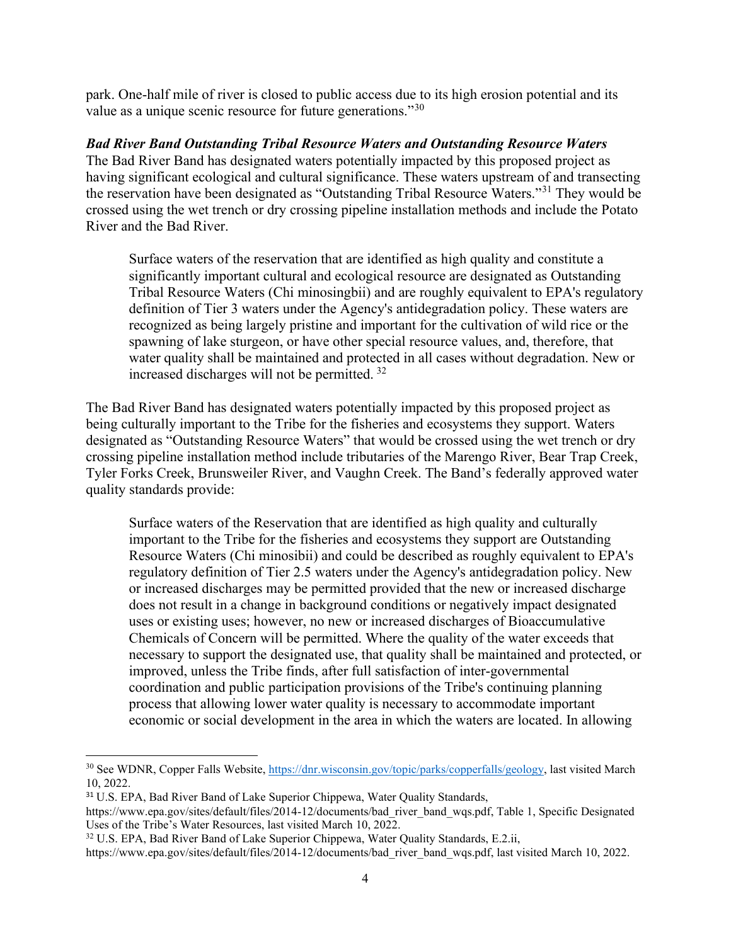park. One-half mile of river is closed to public access due to its high erosion potential and its value as a unique scenic resource for future generations."<sup>[30](#page-11-0)</sup>

#### *Bad River Band Outstanding Tribal Resource Waters and Outstanding Resource Waters*

The Bad River Band has designated waters potentially impacted by this proposed project as having significant ecological and cultural significance. These waters upstream of and transecting the reservation have been designated as "Outstanding Tribal Resource Waters."[31](#page-11-1) They would be crossed using the wet trench or dry crossing pipeline installation methods and include the Potato River and the Bad River.

Surface waters of the reservation that are identified as high quality and constitute a significantly important cultural and ecological resource are designated as Outstanding Tribal Resource Waters (Chi minosingbii) and are roughly equivalent to EPA's regulatory definition of Tier 3 waters under the Agency's antidegradation policy. These waters are recognized as being largely pristine and important for the cultivation of wild rice or the spawning of lake sturgeon, or have other special resource values, and, therefore, that water quality shall be maintained and protected in all cases without degradation. New or increased discharges will not be permitted. [32](#page-11-2) 

The Bad River Band has designated waters potentially impacted by this proposed project as being culturally important to the Tribe for the fisheries and ecosystems they support. Waters designated as "Outstanding Resource Waters" that would be crossed using the wet trench or dry crossing pipeline installation method include tributaries of the Marengo River, Bear Trap Creek, Tyler Forks Creek, Brunsweiler River, and Vaughn Creek. The Band's federally approved water quality standards provide:

Surface waters of the Reservation that are identified as high quality and culturally important to the Tribe for the fisheries and ecosystems they support are Outstanding Resource Waters (Chi minosibii) and could be described as roughly equivalent to EPA's regulatory definition of Tier 2.5 waters under the Agency's antidegradation policy. New or increased discharges may be permitted provided that the new or increased discharge does not result in a change in background conditions or negatively impact designated uses or existing uses; however, no new or increased discharges of Bioaccumulative Chemicals of Concern will be permitted. Where the quality of the water exceeds that necessary to support the designated use, that quality shall be maintained and protected, or improved, unless the Tribe finds, after full satisfaction of inter-governmental coordination and public participation provisions of the Tribe's continuing planning process that allowing lower water quality is necessary to accommodate important economic or social development in the area in which the waters are located. In allowing

<span id="page-11-0"></span><sup>30</sup> See WDNR, Copper Falls Website, [https://dnr.wisconsin.gov/topic/parks/copperfalls/geology,](https://dnr.wisconsin.gov/topic/parks/copperfalls/geology) last visited March 10, 2022.

<span id="page-11-1"></span><sup>&</sup>lt;sup>31</sup> U.S. EPA, Bad River Band of Lake Superior Chippewa, Water Quality Standards,

https://www.epa.gov/sites/default/files/2014-12/documents/bad\_river\_band\_wqs.pdf, Table 1, Specific Designated Uses of the Tribe's Water Resources, last visited March 10, 2022.

<span id="page-11-2"></span><sup>&</sup>lt;sup>32</sup> U.S. EPA, Bad River Band of Lake Superior Chippewa, Water Quality Standards, E.2.ii,

https://www.epa.gov/sites/default/files/2014-12/documents/bad\_river\_band\_wqs.pdf, last visited March 10, 2022.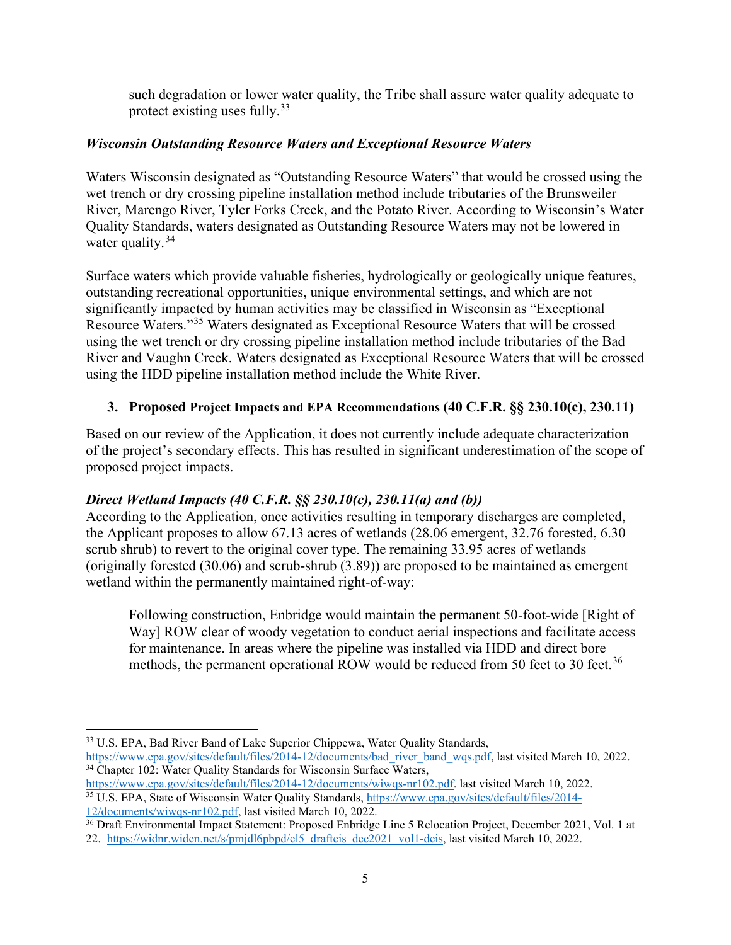such degradation or lower water quality, the Tribe shall assure water quality adequate to protect existing uses fully.  $33$ 

## *Wisconsin Outstanding Resource Waters and Exceptional Resource Waters*

Waters Wisconsin designated as "Outstanding Resource Waters" that would be crossed using the wet trench or dry crossing pipeline installation method include tributaries of the Brunsweiler River, Marengo River, Tyler Forks Creek, and the Potato River. According to Wisconsin's Water Quality Standards, waters designated as Outstanding Resource Waters may not be lowered in water quality.<sup>[34](#page-12-1)</sup>

Surface waters which provide valuable fisheries, hydrologically or geologically unique features, outstanding recreational opportunities, unique environmental settings, and which are not significantly impacted by human activities may be classified in Wisconsin as "Exceptional Resource Waters."[35](#page-12-2) Waters designated as Exceptional Resource Waters that will be crossed using the wet trench or dry crossing pipeline installation method include tributaries of the Bad River and Vaughn Creek. Waters designated as Exceptional Resource Waters that will be crossed using the HDD pipeline installation method include the White River.

## **3. Proposed Project Impacts and EPA Recommendations (40 C.F.R. §§ 230.10(c), 230.11)**

Based on our review of the Application, it does not currently include adequate characterization of the project's secondary effects. This has resulted in significant underestimation of the scope of proposed project impacts.

## *Direct Wetland Impacts (40 C.F.R. §§ 230.10(c), 230.11(a) and (b))*

According to the Application, once activities resulting in temporary discharges are completed, the Applicant proposes to allow 67.13 acres of wetlands (28.06 emergent, 32.76 forested, 6.30 scrub shrub) to revert to the original cover type. The remaining 33.95 acres of wetlands (originally forested (30.06) and scrub-shrub (3.89)) are proposed to be maintained as emergent wetland within the permanently maintained right-of-way:

Following construction, Enbridge would maintain the permanent 50-foot-wide [Right of Way] ROW clear of woody vegetation to conduct aerial inspections and facilitate access for maintenance. In areas where the pipeline was installed via HDD and direct bore methods, the permanent operational ROW would be reduced from 50 feet to 30 feet.<sup>[36](#page-12-3)</sup>

<span id="page-12-0"></span><sup>33</sup> U.S. EPA, Bad River Band of Lake Superior Chippewa, Water Quality Standards, [https://www.epa.gov/sites/default/files/2014-12/documents/bad\\_river\\_band\\_wqs.pdf,](https://www.epa.gov/sites/default/files/2014-12/documents/bad_river_band_wqs.pdf) last visited March 10, 2022. <sup>34</sup> Chapter 102: Water Quality Standards for Wisconsin Surface Waters,

<span id="page-12-2"></span><span id="page-12-1"></span>[https://www.epa.gov/sites/default/files/2014-12/documents/wiwqs-nr102.pdf.](https://www.epa.gov/sites/default/files/2014-12/documents/wiwqs-nr102.pdf) last visited March 10, 2022. <sup>35</sup> U.S. EPA, State of Wisconsin Water Quality Standards, [https://www.epa.gov/sites/default/files/2014-](https://www.epa.gov/sites/default/files/2014-12/documents/wiwqs-nr102.pdf) [12/documents/wiwqs-nr102.pdf,](https://www.epa.gov/sites/default/files/2014-12/documents/wiwqs-nr102.pdf) last visited March 10, 2022.

<span id="page-12-3"></span><sup>&</sup>lt;sup>36</sup> Draft Environmental Impact Statement: Proposed Enbridge Line 5 Relocation Project, December 2021, Vol. 1 at 22. [https://widnr.widen.net/s/pmjdl6pbpd/el5\\_drafteis\\_dec2021\\_vol1-deis,](https://widnr.widen.net/s/pmjdl6pbpd/el5_drafteis_dec2021_vol1-deis) last visited March 10, 2022.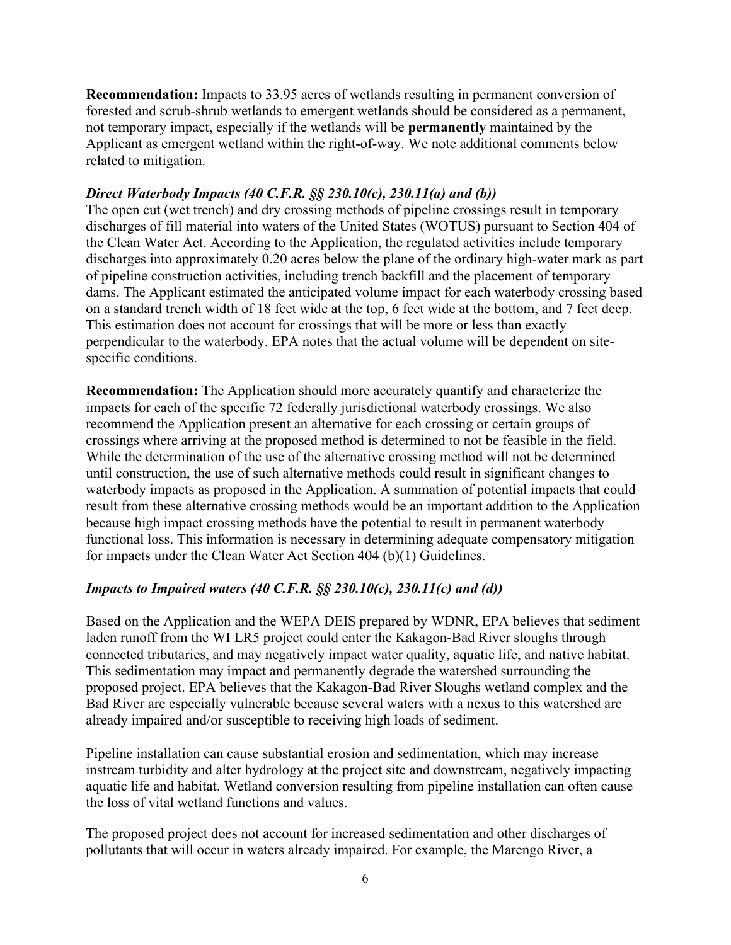**Recommendation:** Impacts to 33.95 acres of wetlands resulting in permanent conversion of forested and scrub-shrub wetlands to emergent wetlands should be considered as a permanent, not temporary impact, especially if the wetlands will be **permanently** maintained by the Applicant as emergent wetland within the right-of-way. We note additional comments below related to mitigation.

### *Direct Waterbody Impacts (40 C.F.R. §§ 230.10(c), 230.11(a) and (b))*

The open cut (wet trench) and dry crossing methods of pipeline crossings result in temporary discharges of fill material into waters of the United States (WOTUS) pursuant to Section 404 of the Clean Water Act. According to the Application, the regulated activities include temporary discharges into approximately 0.20 acres below the plane of the ordinary high-water mark as part of pipeline construction activities, including trench backfill and the placement of temporary dams. The Applicant estimated the anticipated volume impact for each waterbody crossing based on a standard trench width of 18 feet wide at the top, 6 feet wide at the bottom, and 7 feet deep. This estimation does not account for crossings that will be more or less than exactly perpendicular to the waterbody. EPA notes that the actual volume will be dependent on sitespecific conditions.

**Recommendation:** The Application should more accurately quantify and characterize the impacts for each of the specific 72 federally jurisdictional waterbody crossings. We also recommend the Application present an alternative for each crossing or certain groups of crossings where arriving at the proposed method is determined to not be feasible in the field. While the determination of the use of the alternative crossing method will not be determined until construction, the use of such alternative methods could result in significant changes to waterbody impacts as proposed in the Application. A summation of potential impacts that could result from these alternative crossing methods would be an important addition to the Application because high impact crossing methods have the potential to result in permanent waterbody functional loss. This information is necessary in determining adequate compensatory mitigation for impacts under the Clean Water Act Section 404 (b)(1) Guidelines.

### *Impacts to Impaired waters (40 C.F.R. §§ 230.10(c), 230.11(c) and (d))*

Based on the Application and the WEPA DEIS prepared by WDNR, EPA believes that sediment laden runoff from the WI LR5 project could enter the Kakagon-Bad River sloughs through connected tributaries, and may negatively impact water quality, aquatic life, and native habitat. This sedimentation may impact and permanently degrade the watershed surrounding the proposed project. EPA believes that the Kakagon-Bad River Sloughs wetland complex and the Bad River are especially vulnerable because several waters with a nexus to this watershed are already impaired and/or susceptible to receiving high loads of sediment.

Pipeline installation can cause substantial erosion and sedimentation, which may increase instream turbidity and alter hydrology at the project site and downstream, negatively impacting aquatic life and habitat. Wetland conversion resulting from pipeline installation can often cause the loss of vital wetland functions and values.

The proposed project does not account for increased sedimentation and other discharges of pollutants that will occur in waters already impaired. For example, the Marengo River, a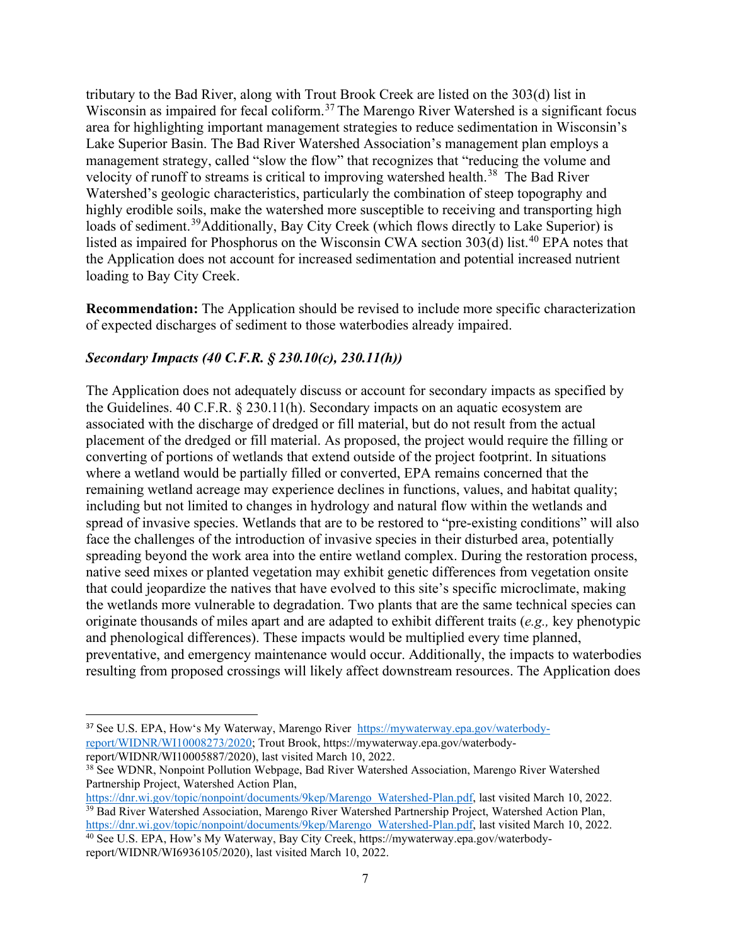tributary to the Bad River, along with Trout Brook Creek are listed on the 303(d) list in Wisconsin as impaired for fecal coliform.<sup>[37](#page-14-0)</sup> The Marengo River Watershed is a significant focus area for highlighting important management strategies to reduce sedimentation in Wisconsin's Lake Superior Basin. The Bad River Watershed Association's management plan employs a management strategy, called "slow the flow" that recognizes that "reducing the volume and velocity of runoff to streams is critical to improving watershed health.<sup>38</sup> The Bad River Watershed's geologic characteristics, particularly the combination of steep topography and highly erodible soils, make the watershed more susceptible to receiving and transporting high loads of sediment.<sup>[39](#page-14-2)</sup>Additionally, Bay City Creek (which flows directly to Lake Superior) is listed as impaired for Phosphorus on the Wisconsin CWA section  $303(d)$  list.<sup>[40](#page-14-3)</sup> EPA notes that the Application does not account for increased sedimentation and potential increased nutrient loading to Bay City Creek.

**Recommendation:** The Application should be revised to include more specific characterization of expected discharges of sediment to those waterbodies already impaired.

## *Secondary Impacts (40 C.F.R. § 230.10(c), 230.11(h))*

The Application does not adequately discuss or account for secondary impacts as specified by the Guidelines. 40 C.F.R. § 230.11(h). Secondary impacts on an aquatic ecosystem are associated with the discharge of dredged or fill material, but do not result from the actual placement of the dredged or fill material. As proposed, the project would require the filling or converting of portions of wetlands that extend outside of the project footprint. In situations where a wetland would be partially filled or converted, EPA remains concerned that the remaining wetland acreage may experience declines in functions, values, and habitat quality; including but not limited to changes in hydrology and natural flow within the wetlands and spread of invasive species. Wetlands that are to be restored to "pre-existing conditions" will also face the challenges of the introduction of invasive species in their disturbed area, potentially spreading beyond the work area into the entire wetland complex. During the restoration process, native seed mixes or planted vegetation may exhibit genetic differences from vegetation onsite that could jeopardize the natives that have evolved to this site's specific microclimate, making the wetlands more vulnerable to degradation. Two plants that are the same technical species can originate thousands of miles apart and are adapted to exhibit different traits (*e.g.,* key phenotypic and phenological differences). These impacts would be multiplied every time planned, preventative, and emergency maintenance would occur. Additionally, the impacts to waterbodies resulting from proposed crossings will likely affect downstream resources. The Application does

<span id="page-14-0"></span><sup>&</sup>lt;sup>37</sup> See U.S. EPA, How's My Waterway, Marengo River [https://mywaterway.epa.gov/waterbody](https://mywaterway.epa.gov/waterbody-report/WIDNR/WI10008273/2020)[report/WIDNR/WI10008273/2020;](https://mywaterway.epa.gov/waterbody-report/WIDNR/WI10008273/2020) Trout Brook, [https://mywaterway.epa.gov/waterbody](https://mywaterway.epa.gov/waterbody-report/WIDNR/WI10005887/2020)[report/WIDNR/WI10005887/2020\)](https://mywaterway.epa.gov/waterbody-report/WIDNR/WI10005887/2020), last visited March 10, 2022.

<span id="page-14-1"></span><sup>&</sup>lt;sup>38</sup> See WDNR, Nonpoint Pollution Webpage, Bad River Watershed Association, Marengo River Watershed Partnership Project, Watershed Action Plan,

<span id="page-14-2"></span>[https://dnr.wi.gov/topic/nonpoint/documents/9kep/Marengo\\_Watershed-Plan.pdf,](https://dnr.wi.gov/topic/nonpoint/documents/9kep/Marengo_Watershed-Plan.pdf) last visited March 10, 2022. 39 Bad River Watershed Association, Marengo River Watershed Partnership Project, Watershed Action Plan, [https://dnr.wi.gov/topic/nonpoint/documents/9kep/Marengo\\_Watershed-Plan.pdf,](https://dnr.wi.gov/topic/nonpoint/documents/9kep/Marengo_Watershed-Plan.pdf) last visited March 10, 2022.

<span id="page-14-3"></span><sup>&</sup>lt;sup>40</sup> See U.S. EPA, How's My Waterway, Bay City Creek, [https://mywaterway.epa.gov/waterbody](https://mywaterway.epa.gov/waterbody-report/WIDNR/WI6936105/2020)[report/WIDNR/WI6936105/2020\)](https://mywaterway.epa.gov/waterbody-report/WIDNR/WI6936105/2020), last visited March 10, 2022.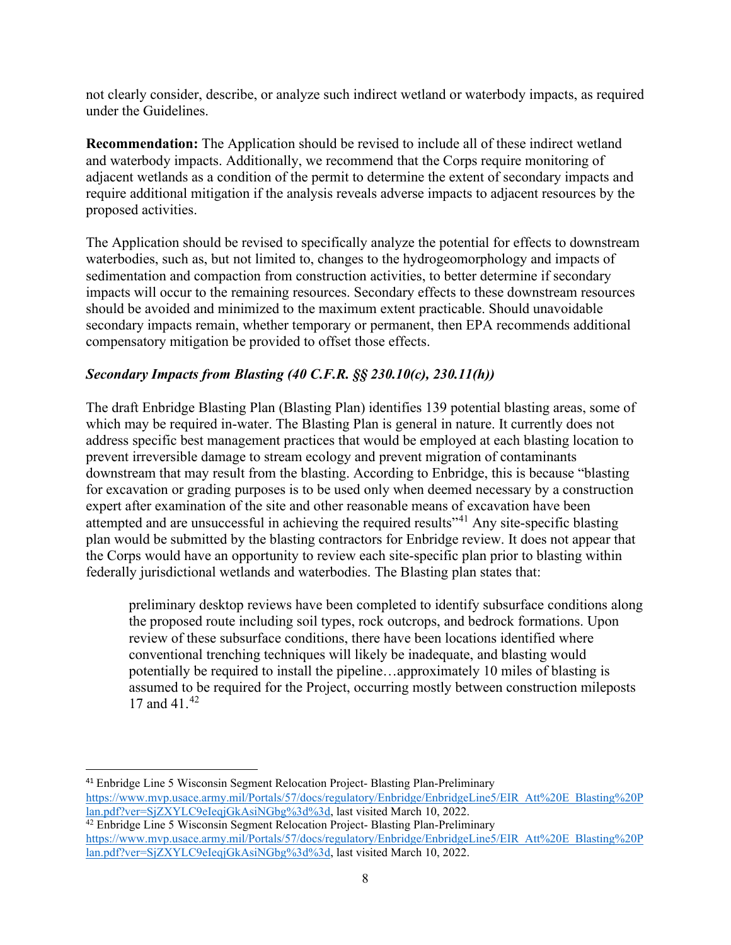not clearly consider, describe, or analyze such indirect wetland or waterbody impacts, as required under the Guidelines.

**Recommendation:** The Application should be revised to include all of these indirect wetland and waterbody impacts. Additionally, we recommend that the Corps require monitoring of adjacent wetlands as a condition of the permit to determine the extent of secondary impacts and require additional mitigation if the analysis reveals adverse impacts to adjacent resources by the proposed activities.

The Application should be revised to specifically analyze the potential for effects to downstream waterbodies, such as, but not limited to, changes to the hydrogeomorphology and impacts of sedimentation and compaction from construction activities, to better determine if secondary impacts will occur to the remaining resources. Secondary effects to these downstream resources should be avoided and minimized to the maximum extent practicable. Should unavoidable secondary impacts remain, whether temporary or permanent, then EPA recommends additional compensatory mitigation be provided to offset those effects.

## *Secondary Impacts from Blasting (40 C.F.R. §§ 230.10(c), 230.11(h))*

The draft Enbridge Blasting Plan (Blasting Plan) identifies 139 potential blasting areas, some of which may be required in-water. The Blasting Plan is general in nature. It currently does not address specific best management practices that would be employed at each blasting location to prevent irreversible damage to stream ecology and prevent migration of contaminants downstream that may result from the blasting. According to Enbridge, this is because "blasting for excavation or grading purposes is to be used only when deemed necessary by a construction expert after examination of the site and other reasonable means of excavation have been attempted and are unsuccessful in achieving the required results<sup>"41</sup> Any site-specific blasting plan would be submitted by the blasting contractors for Enbridge review. It does not appear that the Corps would have an opportunity to review each site-specific plan prior to blasting within federally jurisdictional wetlands and waterbodies. The Blasting plan states that:

preliminary desktop reviews have been completed to identify subsurface conditions along the proposed route including soil types, rock outcrops, and bedrock formations. Upon review of these subsurface conditions, there have been locations identified where conventional trenching techniques will likely be inadequate, and blasting would potentially be required to install the pipeline…approximately 10 miles of blasting is assumed to be required for the Project, occurring mostly between construction mileposts 17 and 41.<sup>[42](#page-15-1)</sup>

<span id="page-15-0"></span><sup>41</sup> Enbridge Line 5 Wisconsin Segment Relocation Project- Blasting Plan-Preliminary [https://www.mvp.usace.army.mil/Portals/57/docs/regulatory/Enbridge/EnbridgeLine5/EIR\\_Att%20E\\_Blasting%20P](https://www.mvp.usace.army.mil/Portals/57/docs/regulatory/Enbridge/EnbridgeLine5/EIR_Att%20E_Blasting%20Plan.pdf?ver=SjZXYLC9eIeqjGkAsiNGbg%3d%3d) [lan.pdf?ver=SjZXYLC9eIeqjGkAsiNGbg%3d%3d,](https://www.mvp.usace.army.mil/Portals/57/docs/regulatory/Enbridge/EnbridgeLine5/EIR_Att%20E_Blasting%20Plan.pdf?ver=SjZXYLC9eIeqjGkAsiNGbg%3d%3d) last visited March 10, 2022. <sup>42</sup> Enbridge Line 5 Wisconsin Segment Relocation Project- Blasting Plan-Preliminary

<span id="page-15-1"></span>[https://www.mvp.usace.army.mil/Portals/57/docs/regulatory/Enbridge/EnbridgeLine5/EIR\\_Att%20E\\_Blasting%20P](https://www.mvp.usace.army.mil/Portals/57/docs/regulatory/Enbridge/EnbridgeLine5/EIR_Att%20E_Blasting%20Plan.pdf?ver=SjZXYLC9eIeqjGkAsiNGbg%3d%3d) [lan.pdf?ver=SjZXYLC9eIeqjGkAsiNGbg%3d%3d,](https://www.mvp.usace.army.mil/Portals/57/docs/regulatory/Enbridge/EnbridgeLine5/EIR_Att%20E_Blasting%20Plan.pdf?ver=SjZXYLC9eIeqjGkAsiNGbg%3d%3d) last visited March 10, 2022.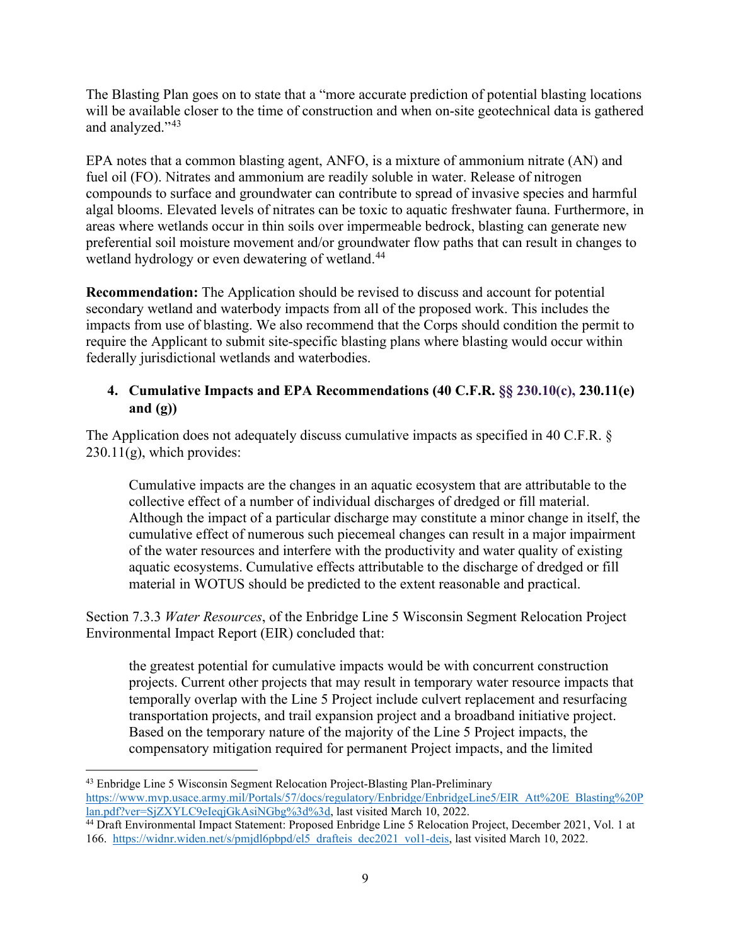The Blasting Plan goes on to state that a "more accurate prediction of potential blasting locations will be available closer to the time of construction and when on-site geotechnical data is gathered and analyzed."<sup>43</sup>

EPA notes that a common blasting agent, ANFO, is a mixture of ammonium nitrate (AN) and fuel oil (FO). Nitrates and ammonium are readily soluble in water. Release of nitrogen compounds to surface and groundwater can contribute to spread of invasive species and harmful algal blooms. Elevated levels of nitrates can be toxic to aquatic freshwater fauna. Furthermore, in areas where wetlands occur in thin soils over impermeable bedrock, blasting can generate new preferential soil moisture movement and/or groundwater flow paths that can result in changes to wetland hydrology or even dewatering of wetland.<sup>44</sup>

**Recommendation:** The Application should be revised to discuss and account for potential secondary wetland and waterbody impacts from all of the proposed work. This includes the impacts from use of blasting. We also recommend that the Corps should condition the permit to require the Applicant to submit site-specific blasting plans where blasting would occur within federally jurisdictional wetlands and waterbodies.

# **4. Cumulative Impacts and EPA Recommendations (40 C.F.R. §§ 230.10(c), 230.11(e) and (g))**

The Application does not adequately discuss cumulative impacts as specified in 40 C.F.R. §  $230.11(g)$ , which provides:

Cumulative impacts are the changes in an aquatic ecosystem that are attributable to the collective effect of a number of individual discharges of dredged or fill material. Although the impact of a particular discharge may constitute a minor change in itself, the cumulative effect of numerous such piecemeal changes can result in a major impairment of the water resources and interfere with the productivity and water quality of existing aquatic ecosystems. Cumulative effects attributable to the discharge of dredged or fill material in WOTUS should be predicted to the extent reasonable and practical.

Section 7.3.3 *Water Resources*, of the Enbridge Line 5 Wisconsin Segment Relocation Project Environmental Impact Report (EIR) concluded that:

the greatest potential for cumulative impacts would be with concurrent construction projects. Current other projects that may result in temporary water resource impacts that temporally overlap with the Line 5 Project include culvert replacement and resurfacing transportation projects, and trail expansion project and a broadband initiative project. Based on the temporary nature of the majority of the Line 5 Project impacts, the compensatory mitigation required for permanent Project impacts, and the limited

<span id="page-16-0"></span><sup>43</sup> Enbridge Line 5 Wisconsin Segment Relocation Project-Blasting Plan-Preliminary [https://www.mvp.usace.army.mil/Portals/57/docs/regulatory/Enbridge/EnbridgeLine5/EIR\\_Att%20E\\_Blasting%20P](https://www.mvp.usace.army.mil/Portals/57/docs/regulatory/Enbridge/EnbridgeLine5/EIR_Att%20E_Blasting%20Plan.pdf?ver=SjZXYLC9eIeqjGkAsiNGbg%3d%3d) [lan.pdf?ver=SjZXYLC9eIeqjGkAsiNGbg%3d%3d,](https://www.mvp.usace.army.mil/Portals/57/docs/regulatory/Enbridge/EnbridgeLine5/EIR_Att%20E_Blasting%20Plan.pdf?ver=SjZXYLC9eIeqjGkAsiNGbg%3d%3d) last visited March 10, 2022.

<span id="page-16-1"></span><sup>&</sup>lt;sup>44</sup> Draft Environmental Impact Statement: Proposed Enbridge Line 5 Relocation Project, December 2021, Vol. 1 at 166. [https://widnr.widen.net/s/pmjdl6pbpd/el5\\_drafteis\\_dec2021\\_vol1-deis,](https://widnr.widen.net/s/pmjdl6pbpd/el5_drafteis_dec2021_vol1-deis) last visited March 10, 2022.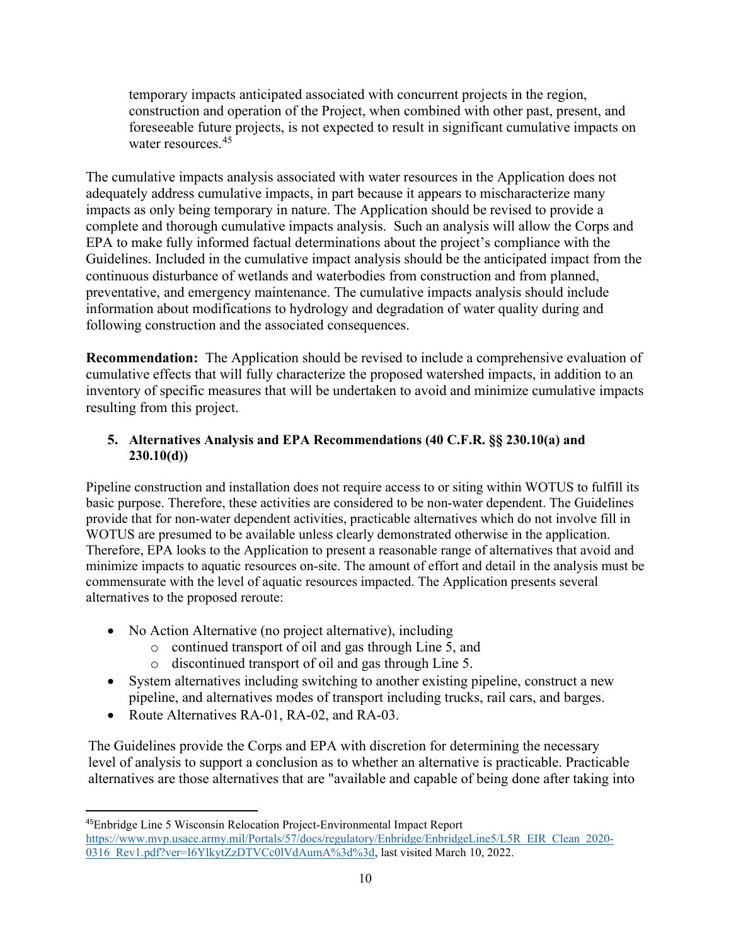temporary impacts anticipated associated with concurrent projects in the region, construction and operation of the Project, when combined with other past, present, and foreseeable future projects, is not expected to result in significant cumulative impacts on water resources.<sup>[45](#page-17-0)</sup>

The cumulative impacts analysis associated with water resources in the Application does not adequately address cumulative impacts, in part because it appears to mischaracterize many impacts as only being temporary in nature. The Application should be revised to provide a complete and thorough cumulative impacts analysis. Such an analysis will allow the Corps and EPA to make fully informed factual determinations about the project's compliance with the Guidelines. Included in the cumulative impact analysis should be the anticipated impact from the continuous disturbance of wetlands and waterbodies from construction and from planned, preventative, and emergency maintenance. The cumulative impacts analysis should include information about modifications to hydrology and degradation of water quality during and following construction and the associated consequences.

**Recommendation:** The Application should be revised to include a comprehensive evaluation of cumulative effects that will fully characterize the proposed watershed impacts, in addition to an inventory of specific measures that will be undertaken to avoid and minimize cumulative impacts resulting from this project.

## **5. Alternatives Analysis and EPA Recommendations (40 C.F.R. §§ 230.10(a) and 230.10(d))**

Pipeline construction and installation does not require access to or siting within WOTUS to fulfill its basic purpose. Therefore, these activities are considered to be non-water dependent. The Guidelines provide that for non-water dependent activities, practicable alternatives which do not involve fill in WOTUS are presumed to be available unless clearly demonstrated otherwise in the application. Therefore, EPA looks to the Application to present a reasonable range of alternatives that avoid and minimize impacts to aquatic resources on-site. The amount of effort and detail in the analysis must be commensurate with the level of aquatic resources impacted. The Application presents several alternatives to the proposed reroute:

- No Action Alternative (no project alternative), including
	- o continued transport of oil and gas through Line 5, and
	- o discontinued transport of oil and gas through Line 5.
- System alternatives including switching to another existing pipeline, construct a new pipeline, and alternatives modes of transport including trucks, rail cars, and barges.
- Route Alternatives RA-01, RA-02, and RA-03.

The Guidelines provide the Corps and EPA with discretion for determining the necessary level of analysis to support a conclusion as to whether an alternative is practicable. Practicable alternatives are those alternatives that are "available and capable of being done after taking into

<span id="page-17-0"></span><sup>45</sup>Enbridge Line 5 Wisconsin Relocation Project-Environmental Impact Report [https://www.mvp.usace.army.mil/Portals/57/docs/regulatory/Enbridge/EnbridgeLine5/L5R\\_EIR\\_Clean\\_2020-](https://www.mvp.usace.army.mil/Portals/57/docs/regulatory/Enbridge/EnbridgeLine5/L5R_EIR_Clean_2020-0316_Rev1.pdf?ver=I6YlkytZzDTVCc0lVdAumA%3d%3d) [0316\\_Rev1.pdf?ver=I6YlkytZzDTVCc0lVdAumA%3d%3d,](https://www.mvp.usace.army.mil/Portals/57/docs/regulatory/Enbridge/EnbridgeLine5/L5R_EIR_Clean_2020-0316_Rev1.pdf?ver=I6YlkytZzDTVCc0lVdAumA%3d%3d) last visited March 10, 2022.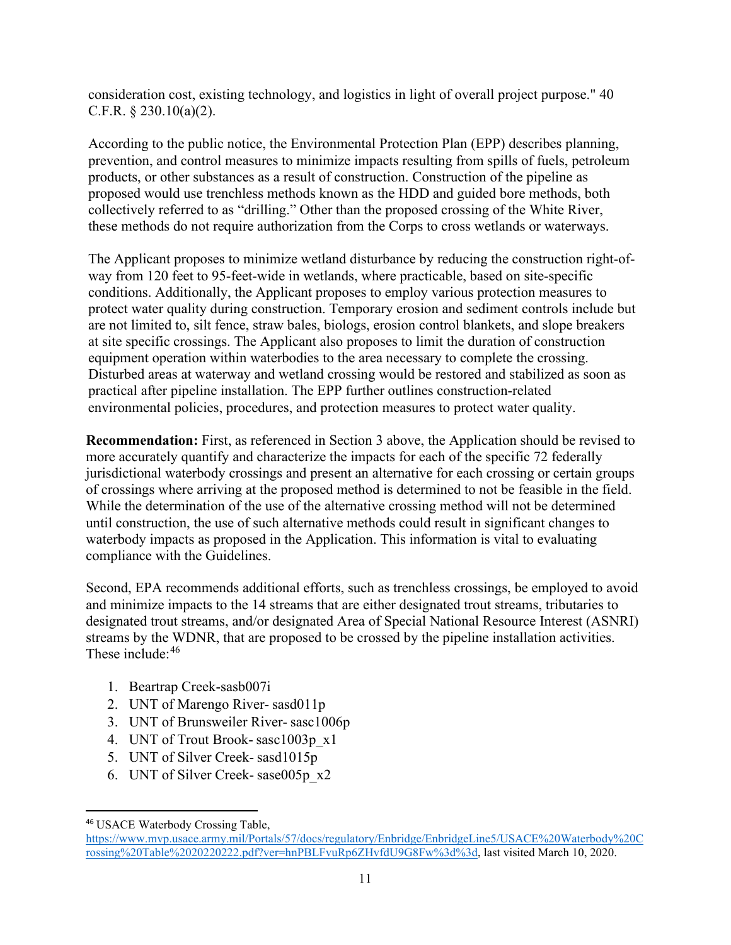consideration cost, existing technology, and logistics in light of overall project purpose." 40 C.F.R. § 230.10(a)(2).

According to the public notice, the Environmental Protection Plan (EPP) describes planning, prevention, and control measures to minimize impacts resulting from spills of fuels, petroleum products, or other substances as a result of construction. Construction of the pipeline as proposed would use trenchless methods known as the HDD and guided bore methods, both collectively referred to as "drilling." Other than the proposed crossing of the White River, these methods do not require authorization from the Corps to cross wetlands or waterways.

The Applicant proposes to minimize wetland disturbance by reducing the construction right-ofway from 120 feet to 95-feet-wide in wetlands, where practicable, based on site-specific conditions. Additionally, the Applicant proposes to employ various protection measures to protect water quality during construction. Temporary erosion and sediment controls include but are not limited to, silt fence, straw bales, biologs, erosion control blankets, and slope breakers at site specific crossings. The Applicant also proposes to limit the duration of construction equipment operation within waterbodies to the area necessary to complete the crossing. Disturbed areas at waterway and wetland crossing would be restored and stabilized as soon as practical after pipeline installation. The EPP further outlines construction-related environmental policies, procedures, and protection measures to protect water quality.

**Recommendation:** First, as referenced in Section 3 above, the Application should be revised to more accurately quantify and characterize the impacts for each of the specific 72 federally jurisdictional waterbody crossings and present an alternative for each crossing or certain groups of crossings where arriving at the proposed method is determined to not be feasible in the field. While the determination of the use of the alternative crossing method will not be determined until construction, the use of such alternative methods could result in significant changes to waterbody impacts as proposed in the Application. This information is vital to evaluating compliance with the Guidelines.

Second, EPA recommends additional efforts, such as trenchless crossings, be employed to avoid and minimize impacts to the 14 streams that are either designated trout streams, tributaries to designated trout streams, and/or designated Area of Special National Resource Interest (ASNRI) streams by the WDNR, that are proposed to be crossed by the pipeline installation activities. These include: [46](#page-18-0)

- 1. Beartrap Creek-sasb007i
- 2. UNT of Marengo River- sasd011p
- 3. UNT of Brunsweiler River- sasc1006p
- 4. UNT of Trout Brook- sasc1003p\_x1
- 5. UNT of Silver Creek- sasd1015p
- 6. UNT of Silver Creek- sase005p\_x2

<span id="page-18-0"></span><sup>46</sup> USACE Waterbody Crossing Table,

[https://www.mvp.usace.army.mil/Portals/57/docs/regulatory/Enbridge/EnbridgeLine5/USACE%20Waterbody%20C](https://www.mvp.usace.army.mil/Portals/57/docs/regulatory/Enbridge/EnbridgeLine5/USACE%20Waterbody%20Crossing%20Table%2020220222.pdf?ver=hnPBLFvuRp6ZHvfdU9G8Fw%3d%3d) [rossing%20Table%2020220222.pdf?ver=hnPBLFvuRp6ZHvfdU9G8Fw%3d%3d,](https://www.mvp.usace.army.mil/Portals/57/docs/regulatory/Enbridge/EnbridgeLine5/USACE%20Waterbody%20Crossing%20Table%2020220222.pdf?ver=hnPBLFvuRp6ZHvfdU9G8Fw%3d%3d) last visited March 10, 2020.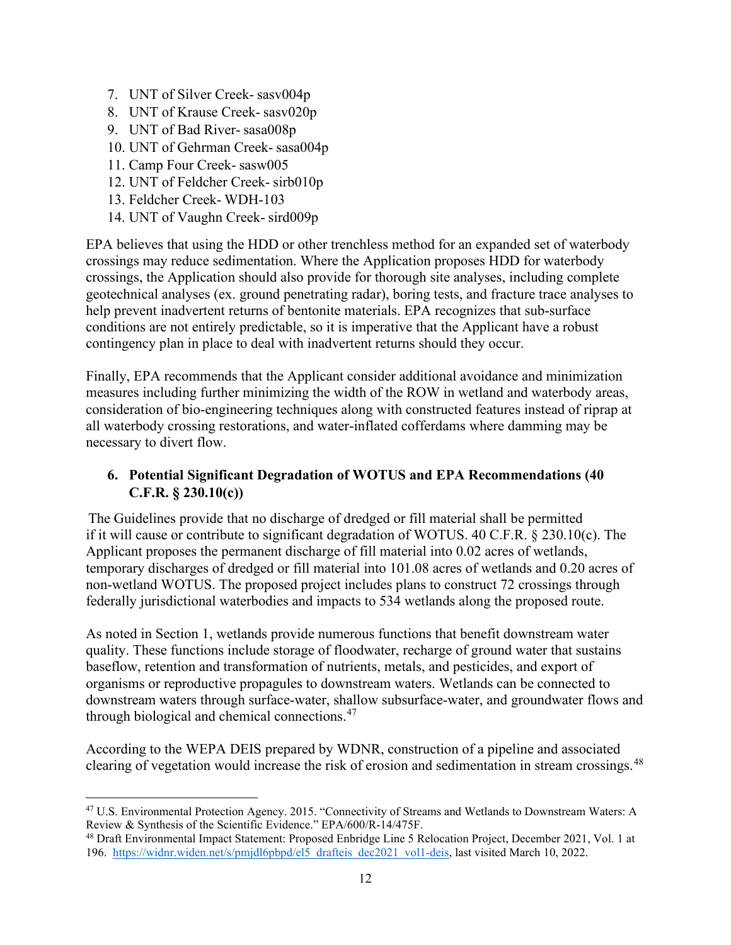- 7. UNT of Silver Creek- sasv004p
- 8. UNT of Krause Creek- sasv020p
- 9. UNT of Bad River- sasa008p
- 10. UNT of Gehrman Creek- sasa004p
- 11. Camp Four Creek- sasw005
- 12. UNT of Feldcher Creek- sirb010p
- 13. Feldcher Creek- WDH-103
- 14. UNT of Vaughn Creek- sird009p

EPA believes that using the HDD or other trenchless method for an expanded set of waterbody crossings may reduce sedimentation. Where the Application proposes HDD for waterbody crossings, the Application should also provide for thorough site analyses, including complete geotechnical analyses (ex. ground penetrating radar), boring tests, and fracture trace analyses to help prevent inadvertent returns of bentonite materials. EPA recognizes that sub-surface conditions are not entirely predictable, so it is imperative that the Applicant have a robust contingency plan in place to deal with inadvertent returns should they occur.

Finally, EPA recommends that the Applicant consider additional avoidance and minimization measures including further minimizing the width of the ROW in wetland and waterbody areas, consideration of bio-engineering techniques along with constructed features instead of riprap at all waterbody crossing restorations, and water-inflated cofferdams where damming may be necessary to divert flow.

## **6. Potential Significant Degradation of WOTUS and EPA Recommendations (40 C.F.R. § 230.10(c))**

The Guidelines provide that no discharge of dredged or fill material shall be permitted if it will cause or contribute to significant degradation of WOTUS. 40 C.F.R. § 230.10(c). The Applicant proposes the permanent discharge of fill material into 0.02 acres of wetlands, temporary discharges of dredged or fill material into 101.08 acres of wetlands and 0.20 acres of non-wetland WOTUS. The proposed project includes plans to construct 72 crossings through federally jurisdictional waterbodies and impacts to 534 wetlands along the proposed route.

As noted in Section 1, wetlands provide numerous functions that benefit downstream water quality. These functions include storage of floodwater, recharge of ground water that sustains baseflow, retention and transformation of nutrients, metals, and pesticides, and export of organisms or reproductive propagules to downstream waters. Wetlands can be connected to downstream waters through surface-water, shallow subsurface-water, and groundwater flows and through biological and chemical connections.<sup>47</sup>

According to the WEPA DEIS prepared by WDNR, construction of a pipeline and associated clearing of vegetation would increase the risk of erosion and sedimentation in stream crossings.<sup>[48](#page-19-1)</sup>

<span id="page-19-0"></span><sup>47</sup> U.S. Environmental Protection Agency. 2015. "Connectivity of Streams and Wetlands to Downstream Waters: A Review & Synthesis of the Scientific Evidence." EPA/600/R-14/475F.

<span id="page-19-1"></span><sup>&</sup>lt;sup>48</sup> Draft Environmental Impact Statement: Proposed Enbridge Line 5 Relocation Project, December 2021, Vol. 1 at 196. [https://widnr.widen.net/s/pmjdl6pbpd/el5\\_drafteis\\_dec2021\\_vol1-deis,](https://widnr.widen.net/s/pmjdl6pbpd/el5_drafteis_dec2021_vol1-deis) last visited March 10, 2022.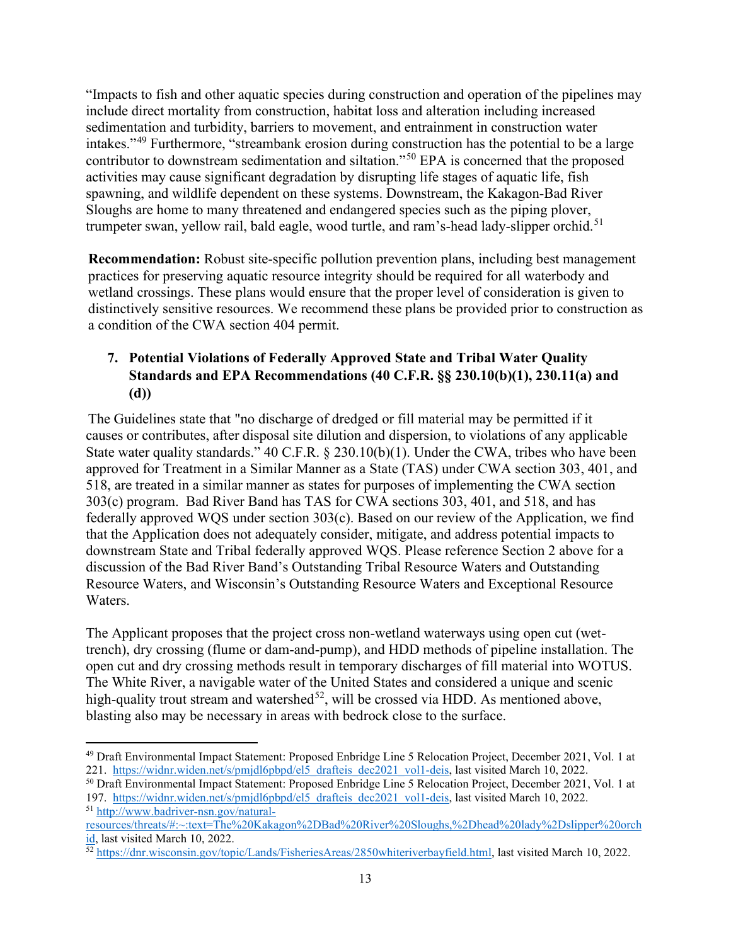"Impacts to fish and other aquatic species during construction and operation of the pipelines may include direct mortality from construction, habitat loss and alteration including increased sedimentation and turbidity, barriers to movement, and entrainment in construction water intakes."[49](#page-20-0) Furthermore, "streambank erosion during construction has the potential to be a large contributor to downstream sedimentation and siltation."[50](#page-20-1) EPA is concerned that the proposed activities may cause significant degradation by disrupting life stages of aquatic life, fish spawning, and wildlife dependent on these systems. Downstream, the Kakagon-Bad River Sloughs are home to many threatened and endangered species such as the piping plover, trumpeter swan, yellow rail, bald eagle, wood turtle, and ram's-head lady-slipper orchid.<sup>[51](#page-20-2)</sup>

**Recommendation:** Robust site-specific pollution prevention plans, including best management practices for preserving aquatic resource integrity should be required for all waterbody and wetland crossings. These plans would ensure that the proper level of consideration is given to distinctively sensitive resources. We recommend these plans be provided prior to construction as a condition of the CWA section 404 permit.

# **7. Potential Violations of Federally Approved State and Tribal Water Quality Standards and EPA Recommendations (40 C.F.R. §§ 230.10(b)(1), 230.11(a) and (d))**

The Guidelines state that "no discharge of dredged or fill material may be permitted if it causes or contributes, after disposal site dilution and dispersion, to violations of any applicable State water quality standards." 40 C.F.R. § 230.10(b)(1). Under the CWA, tribes who have been approved for Treatment in a Similar Manner as a State (TAS) under CWA section 303, 401, and 518, are treated in a similar manner as states for purposes of implementing the CWA section 303(c) program. Bad River Band has TAS for CWA sections 303, 401, and 518, and has federally approved WQS under section 303(c). Based on our review of the Application, we find that the Application does not adequately consider, mitigate, and address potential impacts to downstream State and Tribal federally approved WQS. Please reference Section 2 above for a discussion of the Bad River Band's Outstanding Tribal Resource Waters and Outstanding Resource Waters, and Wisconsin's Outstanding Resource Waters and Exceptional Resource Waters.

The Applicant proposes that the project cross non-wetland waterways using open cut (wettrench), dry crossing (flume or dam-and-pump), and HDD methods of pipeline installation. The open cut and dry crossing methods result in temporary discharges of fill material into WOTUS. The White River, a navigable water of the United States and considered a unique and scenic high-quality trout stream and watershed<sup>52</sup>, will be crossed via HDD. As mentioned above, blasting also may be necessary in areas with bedrock close to the surface.

<span id="page-20-0"></span><sup>49</sup> Draft Environmental Impact Statement: Proposed Enbridge Line 5 Relocation Project, December 2021, Vol. 1 at 221. [https://widnr.widen.net/s/pmjdl6pbpd/el5\\_drafteis\\_dec2021\\_vol1-deis,](https://widnr.widen.net/s/pmjdl6pbpd/el5_drafteis_dec2021_vol1-deis) last visited March 10, 2022.

<span id="page-20-1"></span><sup>50</sup> Draft Environmental Impact Statement: Proposed Enbridge Line 5 Relocation Project, December 2021, Vol. 1 at 197. [https://widnr.widen.net/s/pmjdl6pbpd/el5\\_drafteis\\_dec2021\\_vol1-deis,](https://widnr.widen.net/s/pmjdl6pbpd/el5_drafteis_dec2021_vol1-deis) last visited March 10, 2022. <sup>51</sup> [http://www.badriver-nsn.gov/natural-](http://www.badriver-nsn.gov/natural-resources/threats/#:%7E:text=The%20Kakagon%2DBad%20River%20Sloughs,%2Dhead%20lady%2Dslipper%20orchid)

<span id="page-20-2"></span>[resources/threats/#:~:text=The%20Kakagon%2DBad%20River%20Sloughs,%2Dhead%20lady%2Dslipper%20orch](http://www.badriver-nsn.gov/natural-resources/threats/#:%7E:text=The%20Kakagon%2DBad%20River%20Sloughs,%2Dhead%20lady%2Dslipper%20orchid) [id,](http://www.badriver-nsn.gov/natural-resources/threats/#:%7E:text=The%20Kakagon%2DBad%20River%20Sloughs,%2Dhead%20lady%2Dslipper%20orchid) last visited March 10, 2022.

<span id="page-20-3"></span><sup>52</sup> [https://dnr.wisconsin.gov/topic/Lands/FisheriesAreas/2850whiteriverbayfield.html,](https://dnr.wisconsin.gov/topic/Lands/FisheriesAreas/2850whiteriverbayfield.html) last visited March 10, 2022.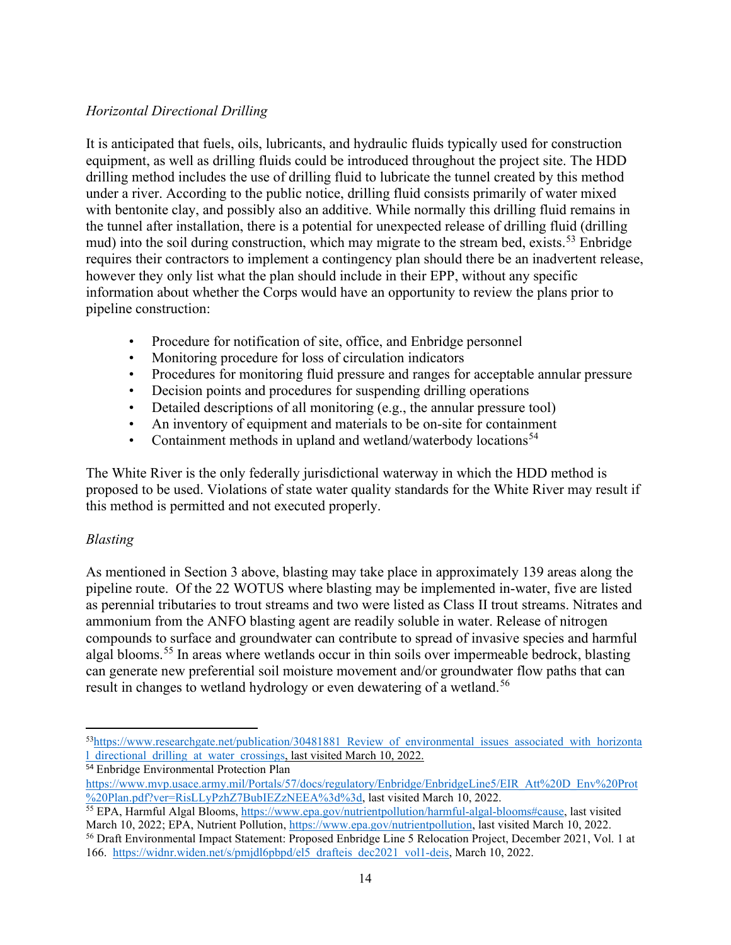## *Horizontal Directional Drilling*

It is anticipated that fuels, oils, lubricants, and hydraulic fluids typically used for construction equipment, as well as drilling fluids could be introduced throughout the project site. The HDD drilling method includes the use of drilling fluid to lubricate the tunnel created by this method under a river. According to the public notice, drilling fluid consists primarily of water mixed with bentonite clay, and possibly also an additive. While normally this drilling fluid remains in the tunnel after installation, there is a potential for unexpected release of drilling fluid (drilling mud) into the soil during construction, which may migrate to the stream bed, exists.<sup>53</sup> Enbridge requires their contractors to implement a contingency plan should there be an inadvertent release, however they only list what the plan should include in their EPP, without any specific information about whether the Corps would have an opportunity to review the plans prior to pipeline construction:

- Procedure for notification of site, office, and Enbridge personnel
- Monitoring procedure for loss of circulation indicators
- Procedures for monitoring fluid pressure and ranges for acceptable annular pressure
- Decision points and procedures for suspending drilling operations
- Detailed descriptions of all monitoring (e.g., the annular pressure tool)
- An inventory of equipment and materials to be on-site for containment
- Containment methods in upland and wetland/waterbody locations<sup>[54](#page-21-1)</sup>

The White River is the only federally jurisdictional waterway in which the HDD method is proposed to be used. Violations of state water quality standards for the White River may result if this method is permitted and not executed properly.

## *Blasting*

As mentioned in Section 3 above, blasting may take place in approximately 139 areas along the pipeline route. Of the 22 WOTUS where blasting may be implemented in-water, five are listed as perennial tributaries to trout streams and two were listed as Class II trout streams. Nitrates and ammonium from the ANFO blasting agent are readily soluble in water. Release of nitrogen compounds to surface and groundwater can contribute to spread of invasive species and harmful algal blooms.<sup>[55](#page-21-2)</sup> In areas where wetlands occur in thin soils over impermeable bedrock, blasting can generate new preferential soil moisture movement and/or groundwater flow paths that can result in changes to wetland hydrology or even dewatering of a wetland.<sup>[56](#page-21-3)</sup>

<span id="page-21-0"></span><sup>53</sup>https://www.researchgate.net/publication/30481881 Review of environmental issues associated with horizonta [l\\_directional\\_drilling\\_at\\_water\\_crossings,](https://www.researchgate.net/publication/30481881_Review_of_environmental_issues_associated_with_horizontal_directional_drilling_at_water_crossings) last visited March 10, 2022.

<span id="page-21-1"></span><sup>54</sup> Enbridge Environmental Protection Plan

[https://www.mvp.usace.army.mil/Portals/57/docs/regulatory/Enbridge/EnbridgeLine5/EIR\\_Att%20D\\_Env%20Prot](https://www.mvp.usace.army.mil/Portals/57/docs/regulatory/Enbridge/EnbridgeLine5/EIR_Att%20D_Env%20Prot%20Plan.pdf?ver=RisLLyPzhZ7BubIEZzNEEA%3d%3d) [%20Plan.pdf?ver=RisLLyPzhZ7BubIEZzNEEA%3d%3d,](https://www.mvp.usace.army.mil/Portals/57/docs/regulatory/Enbridge/EnbridgeLine5/EIR_Att%20D_Env%20Prot%20Plan.pdf?ver=RisLLyPzhZ7BubIEZzNEEA%3d%3d) last visited March 10, 2022.

<span id="page-21-2"></span><sup>55</sup> EPA, Harmful Algal Blooms, [https://www.epa.gov/nutrientpollution/harmful-algal-blooms#cause,](https://www.epa.gov/nutrientpollution/harmful-algal-blooms#cause) last visited March 10, 2022; EPA, Nutrient Pollution, [https://www.epa.gov/nutrientpollution,](https://www.epa.gov/nutrientpollution) last visited March 10, 2022.

<span id="page-21-3"></span><sup>56</sup> Draft Environmental Impact Statement: Proposed Enbridge Line 5 Relocation Project, December 2021, Vol. 1 at 166. [https://widnr.widen.net/s/pmjdl6pbpd/el5\\_drafteis\\_dec2021\\_vol1-deis,](https://widnr.widen.net/s/pmjdl6pbpd/el5_drafteis_dec2021_vol1-deis) March 10, 2022.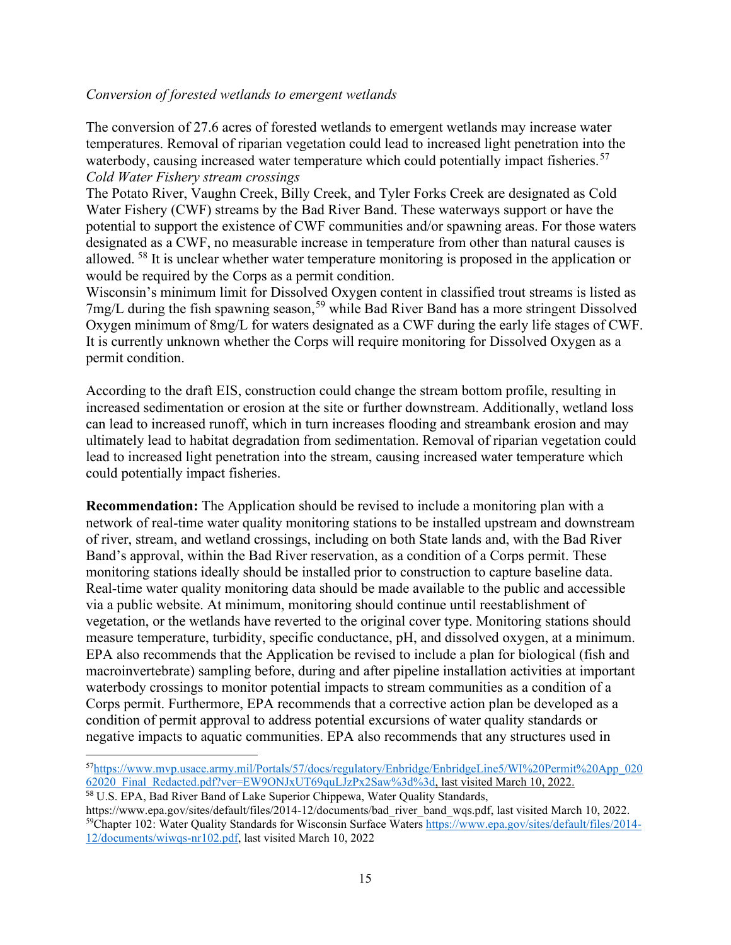#### *Conversion of forested wetlands to emergent wetlands*

The conversion of 27.6 acres of forested wetlands to emergent wetlands may increase water temperatures. Removal of riparian vegetation could lead to increased light penetration into the waterbody, causing increased water temperature which could potentially impact fisheries.<sup>57</sup> *Cold Water Fishery stream crossings*

The Potato River, Vaughn Creek, Billy Creek, and Tyler Forks Creek are designated as Cold Water Fishery (CWF) streams by the Bad River Band. These waterways support or have the potential to support the existence of CWF communities and/or spawning areas. For those waters designated as a CWF, no measurable increase in temperature from other than natural causes is allowed. <sup>58</sup> It is unclear whether water temperature monitoring is proposed in the application or would be required by the Corps as a permit condition.

Wisconsin's minimum limit for Dissolved Oxygen content in classified trout streams is listed as 7mg/L during the fish spawning season,<sup>59</sup> while Bad River Band has a more stringent Dissolved Oxygen minimum of 8mg/L for waters designated as a CWF during the early life stages of CWF. It is currently unknown whether the Corps will require monitoring for Dissolved Oxygen as a permit condition.

According to the draft EIS, construction could change the stream bottom profile, resulting in increased sedimentation or erosion at the site or further downstream. Additionally, wetland loss can lead to increased runoff, which in turn increases flooding and streambank erosion and may ultimately lead to habitat degradation from sedimentation. Removal of riparian vegetation could lead to increased light penetration into the stream, causing increased water temperature which could potentially impact fisheries.

**Recommendation:** The Application should be revised to include a monitoring plan with a network of real-time water quality monitoring stations to be installed upstream and downstream of river, stream, and wetland crossings, including on both State lands and, with the Bad River Band's approval, within the Bad River reservation, as a condition of a Corps permit. These monitoring stations ideally should be installed prior to construction to capture baseline data. Real-time water quality monitoring data should be made available to the public and accessible via a public website. At minimum, monitoring should continue until reestablishment of vegetation, or the wetlands have reverted to the original cover type. Monitoring stations should measure temperature, turbidity, specific conductance, pH, and dissolved oxygen, at a minimum. EPA also recommends that the Application be revised to include a plan for biological (fish and macroinvertebrate) sampling before, during and after pipeline installation activities at important waterbody crossings to monitor potential impacts to stream communities as a condition of a Corps permit. Furthermore, EPA recommends that a corrective action plan be developed as a condition of permit approval to address potential excursions of water quality standards or negative impacts to aquatic communities. EPA also recommends that any structures used in

<span id="page-22-0"></span><sup>5</sup>[7https://www.mvp.usace.army.mil/Portals/57/docs/regulatory/Enbridge/EnbridgeLine5/WI%20Permit%20App\\_020](https://www.mvp.usace.army.mil/Portals/57/docs/regulatory/Enbridge/EnbridgeLine5/WI%20Permit%20App_02062020_Final_Redacted.pdf?ver=EW9ONJxUT69quLJzPx2Saw%3d%3d) [62020\\_Final\\_Redacted.pdf?ver=EW9ONJxUT69quLJzPx2Saw%3d%3d,](https://www.mvp.usace.army.mil/Portals/57/docs/regulatory/Enbridge/EnbridgeLine5/WI%20Permit%20App_02062020_Final_Redacted.pdf?ver=EW9ONJxUT69quLJzPx2Saw%3d%3d) last visited March 10, 2022.

<span id="page-22-1"></span><sup>58</sup> U.S. EPA, Bad River Band of Lake Superior Chippewa, Water Quality Standards,

<span id="page-22-2"></span>https://www.epa.gov/sites/default/files/2014-12/documents/bad\_river\_band\_wqs.pdf, last visited March 10, 2022.<br><sup>59</sup>Chapter 102: Water Quality Standards for Wisconsin Surface Waters https://www.epa.gov/sites/default/files/2 [12/documents/wiwqs-nr102.pdf,](https://www.epa.gov/sites/default/files/2014-12/documents/wiwqs-nr102.pdf) last visited March 10, 2022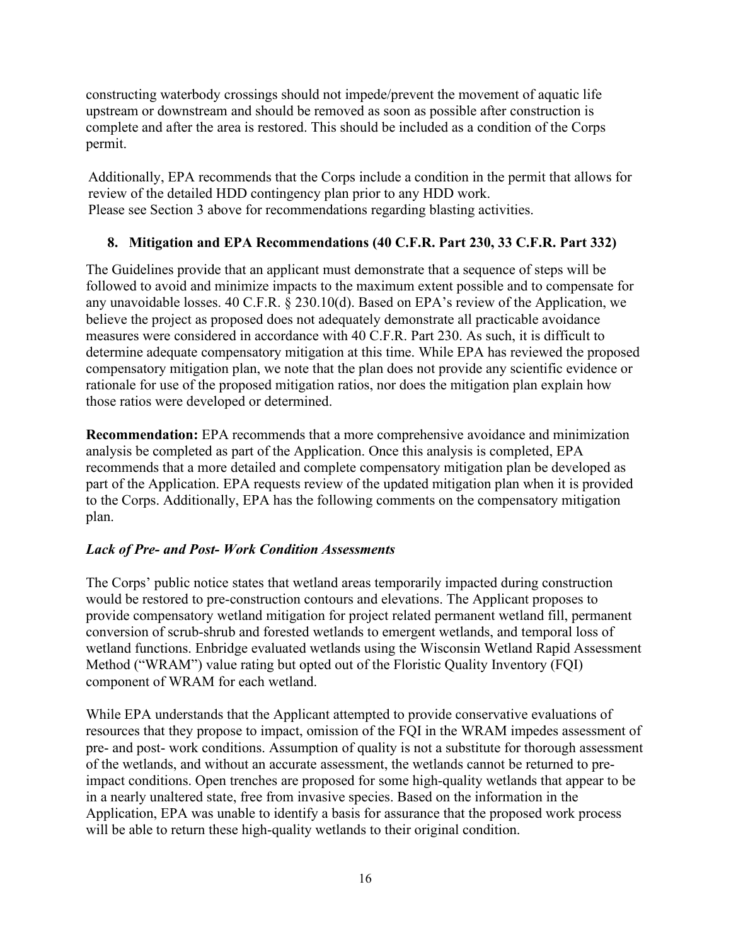constructing waterbody crossings should not impede/prevent the movement of aquatic life upstream or downstream and should be removed as soon as possible after construction is complete and after the area is restored. This should be included as a condition of the Corps permit.

Additionally, EPA recommends that the Corps include a condition in the permit that allows for review of the detailed HDD contingency plan prior to any HDD work. Please see Section 3 above for recommendations regarding blasting activities.

## **8. Mitigation and EPA Recommendations (40 C.F.R. Part 230, 33 C.F.R. Part 332)**

The Guidelines provide that an applicant must demonstrate that a sequence of steps will be followed to avoid and minimize impacts to the maximum extent possible and to compensate for any unavoidable losses. 40 C.F.R. § 230.10(d). Based on EPA's review of the Application, we believe the project as proposed does not adequately demonstrate all practicable avoidance measures were considered in accordance with 40 C.F.R. Part 230. As such, it is difficult to determine adequate compensatory mitigation at this time. While EPA has reviewed the proposed compensatory mitigation plan, we note that the plan does not provide any scientific evidence or rationale for use of the proposed mitigation ratios, nor does the mitigation plan explain how those ratios were developed or determined.

**Recommendation:** EPA recommends that a more comprehensive avoidance and minimization analysis be completed as part of the Application. Once this analysis is completed, EPA recommends that a more detailed and complete compensatory mitigation plan be developed as part of the Application. EPA requests review of the updated mitigation plan when it is provided to the Corps. Additionally, EPA has the following comments on the compensatory mitigation plan.

## *Lack of Pre- and Post- Work Condition Assessments*

The Corps' public notice states that wetland areas temporarily impacted during construction would be restored to pre-construction contours and elevations. The Applicant proposes to provide compensatory wetland mitigation for project related permanent wetland fill, permanent conversion of scrub-shrub and forested wetlands to emergent wetlands, and temporal loss of wetland functions. Enbridge evaluated wetlands using the Wisconsin Wetland Rapid Assessment Method ("WRAM") value rating but opted out of the Floristic Quality Inventory (FQI) component of WRAM for each wetland.

While EPA understands that the Applicant attempted to provide conservative evaluations of resources that they propose to impact, omission of the FQI in the WRAM impedes assessment of pre- and post- work conditions. Assumption of quality is not a substitute for thorough assessment of the wetlands, and without an accurate assessment, the wetlands cannot be returned to preimpact conditions. Open trenches are proposed for some high-quality wetlands that appear to be in a nearly unaltered state, free from invasive species. Based on the information in the Application, EPA was unable to identify a basis for assurance that the proposed work process will be able to return these high-quality wetlands to their original condition.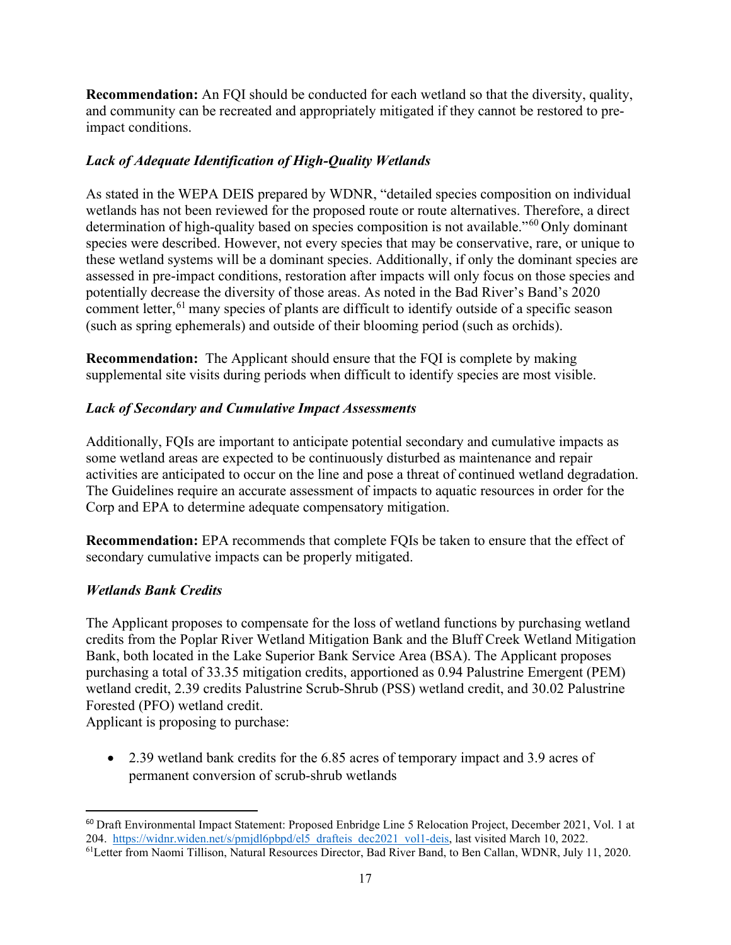**Recommendation:** An FQI should be conducted for each wetland so that the diversity, quality, and community can be recreated and appropriately mitigated if they cannot be restored to preimpact conditions.

## *Lack of Adequate Identification of High-Quality Wetlands*

As stated in the WEPA DEIS prepared by WDNR, "detailed species composition on individual wetlands has not been reviewed for the proposed route or route alternatives. Therefore, a direct determination of high-quality based on species composition is not available."<sup>[60](#page-24-0)</sup> Only dominant species were described. However, not every species that may be conservative, rare, or unique to these wetland systems will be a dominant species. Additionally, if only the dominant species are assessed in pre-impact conditions, restoration after impacts will only focus on those species and potentially decrease the diversity of those areas. As noted in the Bad River's Band's 2020 comment letter,<sup>[61](#page-24-1)</sup> many species of plants are difficult to identify outside of a specific season (such as spring ephemerals) and outside of their blooming period (such as orchids).

**Recommendation:** The Applicant should ensure that the FQI is complete by making supplemental site visits during periods when difficult to identify species are most visible.

## *Lack of Secondary and Cumulative Impact Assessments*

Additionally, FQIs are important to anticipate potential secondary and cumulative impacts as some wetland areas are expected to be continuously disturbed as maintenance and repair activities are anticipated to occur on the line and pose a threat of continued wetland degradation. The Guidelines require an accurate assessment of impacts to aquatic resources in order for the Corp and EPA to determine adequate compensatory mitigation.

**Recommendation:** EPA recommends that complete FQIs be taken to ensure that the effect of secondary cumulative impacts can be properly mitigated.

## *Wetlands Bank Credits*

The Applicant proposes to compensate for the loss of wetland functions by purchasing wetland credits from the Poplar River Wetland Mitigation Bank and the Bluff Creek Wetland Mitigation Bank, both located in the Lake Superior Bank Service Area (BSA). The Applicant proposes purchasing a total of 33.35 mitigation credits, apportioned as 0.94 Palustrine Emergent (PEM) wetland credit, 2.39 credits Palustrine Scrub-Shrub (PSS) wetland credit, and 30.02 Palustrine Forested (PFO) wetland credit.

Applicant is proposing to purchase:

• 2.39 wetland bank credits for the 6.85 acres of temporary impact and 3.9 acres of permanent conversion of scrub-shrub wetlands

<span id="page-24-0"></span><sup>60</sup> Draft Environmental Impact Statement: Proposed Enbridge Line 5 Relocation Project, December 2021, Vol. 1 at 204. [https://widnr.widen.net/s/pmjdl6pbpd/el5\\_drafteis\\_dec2021\\_vol1-deis,](https://widnr.widen.net/s/pmjdl6pbpd/el5_drafteis_dec2021_vol1-deis) last visited March 10, 2022.

<span id="page-24-1"></span><sup>61</sup>Letter from Naomi Tillison, Natural Resources Director, Bad River Band, to Ben Callan, WDNR, July 11, 2020.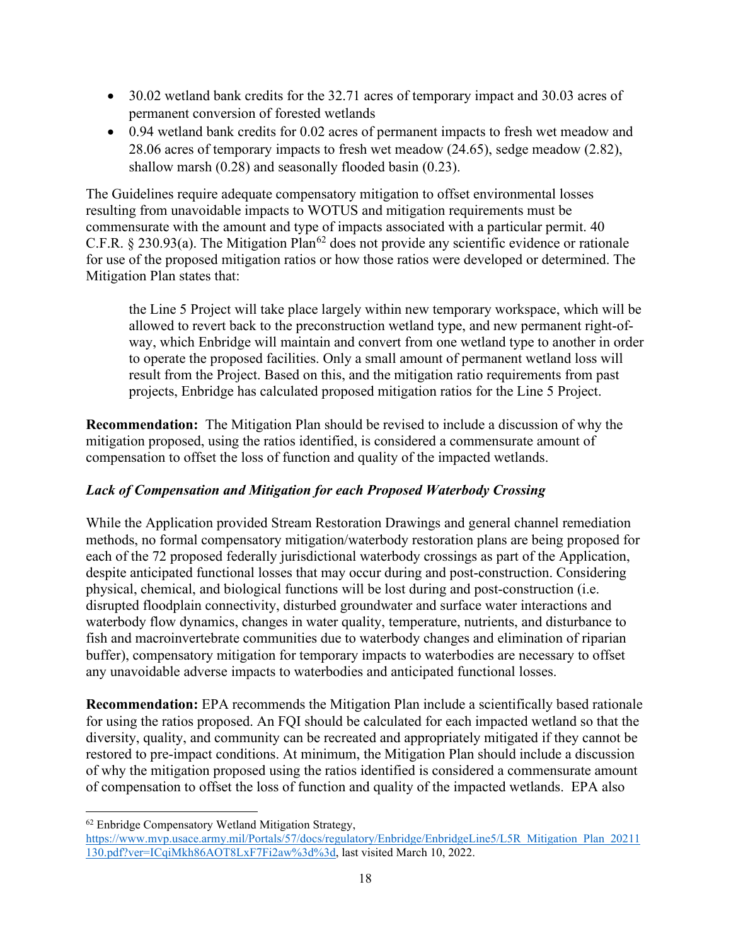- 30.02 wetland bank credits for the 32.71 acres of temporary impact and 30.03 acres of permanent conversion of forested wetlands
- 0.94 wetland bank credits for 0.02 acres of permanent impacts to fresh wet meadow and 28.06 acres of temporary impacts to fresh wet meadow (24.65), sedge meadow (2.82), shallow marsh (0.28) and seasonally flooded basin (0.23).

The Guidelines require adequate compensatory mitigation to offset environmental losses resulting from unavoidable impacts to WOTUS and mitigation requirements must be commensurate with the amount and type of impacts associated with a particular permit. 40 C.F.R. § 230.93(a). The Mitigation Plan<sup>[62](#page-25-0)</sup> does not provide any scientific evidence or rationale for use of the proposed mitigation ratios or how those ratios were developed or determined. The Mitigation Plan states that:

the Line 5 Project will take place largely within new temporary workspace, which will be allowed to revert back to the preconstruction wetland type, and new permanent right-ofway, which Enbridge will maintain and convert from one wetland type to another in order to operate the proposed facilities. Only a small amount of permanent wetland loss will result from the Project. Based on this, and the mitigation ratio requirements from past projects, Enbridge has calculated proposed mitigation ratios for the Line 5 Project.

**Recommendation:** The Mitigation Plan should be revised to include a discussion of why the mitigation proposed, using the ratios identified, is considered a commensurate amount of compensation to offset the loss of function and quality of the impacted wetlands.

# *Lack of Compensation and Mitigation for each Proposed Waterbody Crossing*

While the Application provided Stream Restoration Drawings and general channel remediation methods, no formal compensatory mitigation/waterbody restoration plans are being proposed for each of the 72 proposed federally jurisdictional waterbody crossings as part of the Application, despite anticipated functional losses that may occur during and post-construction. Considering physical, chemical, and biological functions will be lost during and post-construction (i.e. disrupted floodplain connectivity, disturbed groundwater and surface water interactions and waterbody flow dynamics, changes in water quality, temperature, nutrients, and disturbance to fish and macroinvertebrate communities due to waterbody changes and elimination of riparian buffer), compensatory mitigation for temporary impacts to waterbodies are necessary to offset any unavoidable adverse impacts to waterbodies and anticipated functional losses.

**Recommendation:** EPA recommends the Mitigation Plan include a scientifically based rationale for using the ratios proposed. An FQI should be calculated for each impacted wetland so that the diversity, quality, and community can be recreated and appropriately mitigated if they cannot be restored to pre-impact conditions. At minimum, the Mitigation Plan should include a discussion of why the mitigation proposed using the ratios identified is considered a commensurate amount of compensation to offset the loss of function and quality of the impacted wetlands. EPA also

<span id="page-25-0"></span><sup>62</sup> Enbridge Compensatory Wetland Mitigation Strategy,

[https://www.mvp.usace.army.mil/Portals/57/docs/regulatory/Enbridge/EnbridgeLine5/L5R\\_Mitigation\\_Plan\\_20211](https://www.mvp.usace.army.mil/Portals/57/docs/regulatory/Enbridge/EnbridgeLine5/L5R_Mitigation_Plan_20211130.pdf?ver=ICqiMkh86AOT8LxF7Fi2aw%3d%3d) [130.pdf?ver=ICqiMkh86AOT8LxF7Fi2aw%3d%3d,](https://www.mvp.usace.army.mil/Portals/57/docs/regulatory/Enbridge/EnbridgeLine5/L5R_Mitigation_Plan_20211130.pdf?ver=ICqiMkh86AOT8LxF7Fi2aw%3d%3d) last visited March 10, 2022.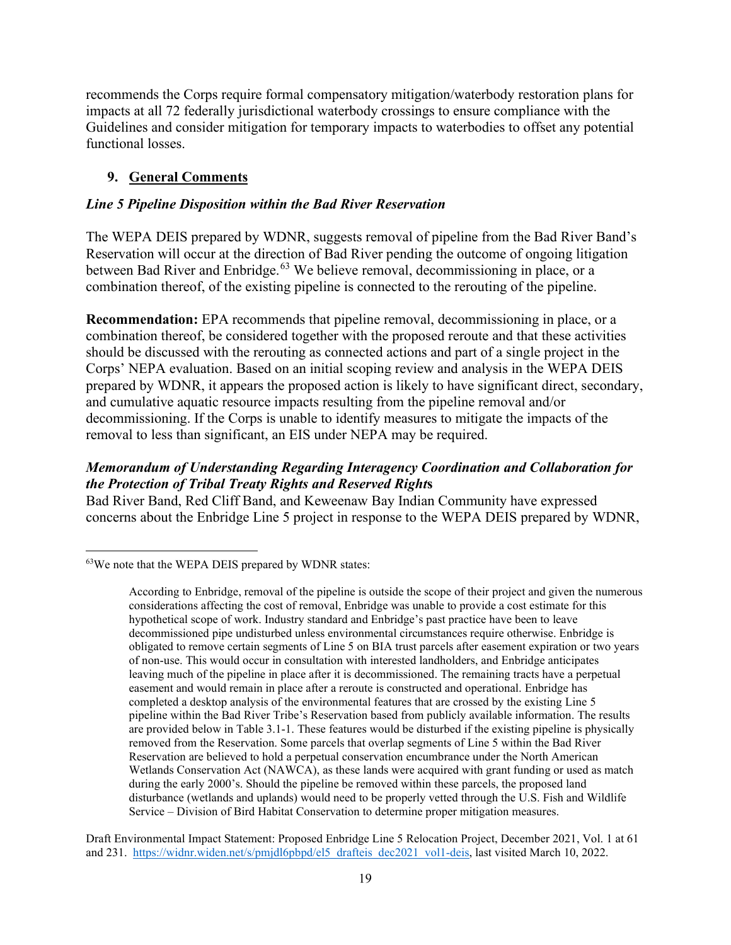recommends the Corps require formal compensatory mitigation/waterbody restoration plans for impacts at all 72 federally jurisdictional waterbody crossings to ensure compliance with the Guidelines and consider mitigation for temporary impacts to waterbodies to offset any potential functional losses.

## **9. General Comments**

### *Line 5 Pipeline Disposition within the Bad River Reservation*

The WEPA DEIS prepared by WDNR, suggests removal of pipeline from the Bad River Band's Reservation will occur at the direction of Bad River pending the outcome of ongoing litigation between Bad River and Enbridge.<sup>[63](#page-26-0)</sup> We believe removal, decommissioning in place, or a combination thereof, of the existing pipeline is connected to the rerouting of the pipeline.

**Recommendation:** EPA recommends that pipeline removal, decommissioning in place, or a combination thereof, be considered together with the proposed reroute and that these activities should be discussed with the rerouting as connected actions and part of a single project in the Corps' NEPA evaluation. Based on an initial scoping review and analysis in the WEPA DEIS prepared by WDNR, it appears the proposed action is likely to have significant direct, secondary, and cumulative aquatic resource impacts resulting from the pipeline removal and/or decommissioning. If the Corps is unable to identify measures to mitigate the impacts of the removal to less than significant, an EIS under NEPA may be required.

### *Memorandum of Understanding Regarding Interagency Coordination and Collaboration for the Protection of Tribal Treaty Rights and Reserved Right***s**

Bad River Band, Red Cliff Band, and Keweenaw Bay Indian Community have expressed concerns about the Enbridge Line 5 project in response to the WEPA DEIS prepared by WDNR,

Draft Environmental Impact Statement: Proposed Enbridge Line 5 Relocation Project, December 2021, Vol. 1 at 61 and 231. [https://widnr.widen.net/s/pmjdl6pbpd/el5\\_drafteis\\_dec2021\\_vol1-deis,](https://widnr.widen.net/s/pmjdl6pbpd/el5_drafteis_dec2021_vol1-deis) last visited March 10, 2022.

<span id="page-26-0"></span><sup>63</sup>We note that the WEPA DEIS prepared by WDNR states:

According to Enbridge, removal of the pipeline is outside the scope of their project and given the numerous considerations affecting the cost of removal, Enbridge was unable to provide a cost estimate for this hypothetical scope of work. Industry standard and Enbridge's past practice have been to leave decommissioned pipe undisturbed unless environmental circumstances require otherwise. Enbridge is obligated to remove certain segments of Line 5 on BIA trust parcels after easement expiration or two years of non‐use. This would occur in consultation with interested landholders, and Enbridge anticipates leaving much of the pipeline in place after it is decommissioned. The remaining tracts have a perpetual easement and would remain in place after a reroute is constructed and operational. Enbridge has completed a desktop analysis of the environmental features that are crossed by the existing Line 5 pipeline within the Bad River Tribe's Reservation based from publicly available information. The results are provided below in Table 3.1-1. These features would be disturbed if the existing pipeline is physically removed from the Reservation. Some parcels that overlap segments of Line 5 within the Bad River Reservation are believed to hold a perpetual conservation encumbrance under the North American Wetlands Conservation Act (NAWCA), as these lands were acquired with grant funding or used as match during the early 2000's. Should the pipeline be removed within these parcels, the proposed land disturbance (wetlands and uplands) would need to be properly vetted through the U.S. Fish and Wildlife Service – Division of Bird Habitat Conservation to determine proper mitigation measures.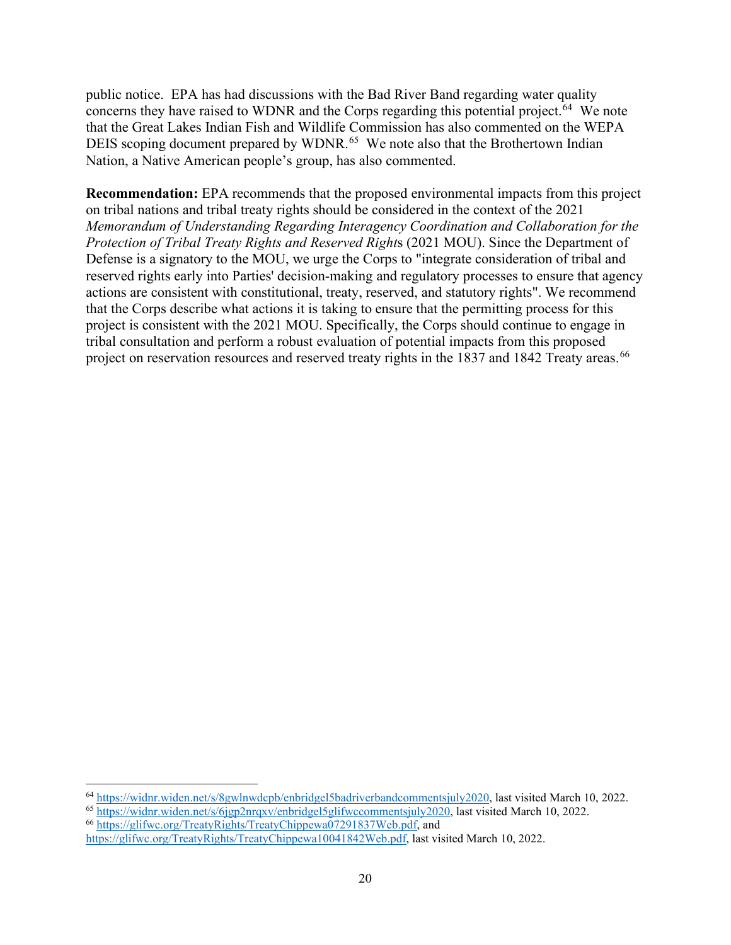public notice. EPA has had discussions with the Bad River Band regarding water quality concerns they have raised to WDNR and the Corps regarding this potential project.<sup>64</sup> We note that the Great Lakes Indian Fish and Wildlife Commission has also commented on the WEPA DEIS scoping document prepared by WDNR.<sup>65</sup> We note also that the Brothertown Indian Nation, a Native American people's group, has also commented.

**Recommendation:** EPA recommends that the proposed environmental impacts from this project on tribal nations and tribal treaty rights should be considered in the context of the 2021 *Memorandum of Understanding Regarding Interagency Coordination and Collaboration for the Protection of Tribal Treaty Rights and Reserved Right*s (2021 MOU). Since the Department of Defense is a signatory to the MOU, we urge the Corps to "integrate consideration of tribal and reserved rights early into Parties' decision-making and regulatory processes to ensure that agency actions are consistent with constitutional, treaty, reserved, and statutory rights". We recommend that the Corps describe what actions it is taking to ensure that the permitting process for this project is consistent with the 2021 MOU. Specifically, the Corps should continue to engage in tribal consultation and perform a robust evaluation of potential impacts from this proposed project on reservation resources and reserved treaty rights in the 1837 and 1842 Treaty areas.<sup>[66](#page-27-2)</sup>

<span id="page-27-0"></span><sup>64</sup> [https://widnr.widen.net/s/8gwlnwdcpb/enbridgel5badriverbandcommentsjuly2020,](https://widnr.widen.net/s/8gwlnwdcpb/enbridgel5badriverbandcommentsjuly2020) last visited March 10, 2022.

<span id="page-27-2"></span><span id="page-27-1"></span><sup>65</sup> [https://widnr.widen.net/s/6jgp2nrqxv/enbridgel5glifwccommentsjuly2020,](https://widnr.widen.net/s/6jgp2nrqxv/enbridgel5glifwccommentsjuly2020) last visited March 10, 2022. <sup>66</sup> [https://glifwc.org/TreatyRights/TreatyChippewa07291837Web.pdf,](https://glifwc.org/TreatyRights/TreatyChippewa07291837Web.pdf) and

[https://glifwc.org/TreatyRights/TreatyChippewa10041842Web.pdf,](https://glifwc.org/TreatyRights/TreatyChippewa10041842Web.pdf) last visited March 10, 2022.